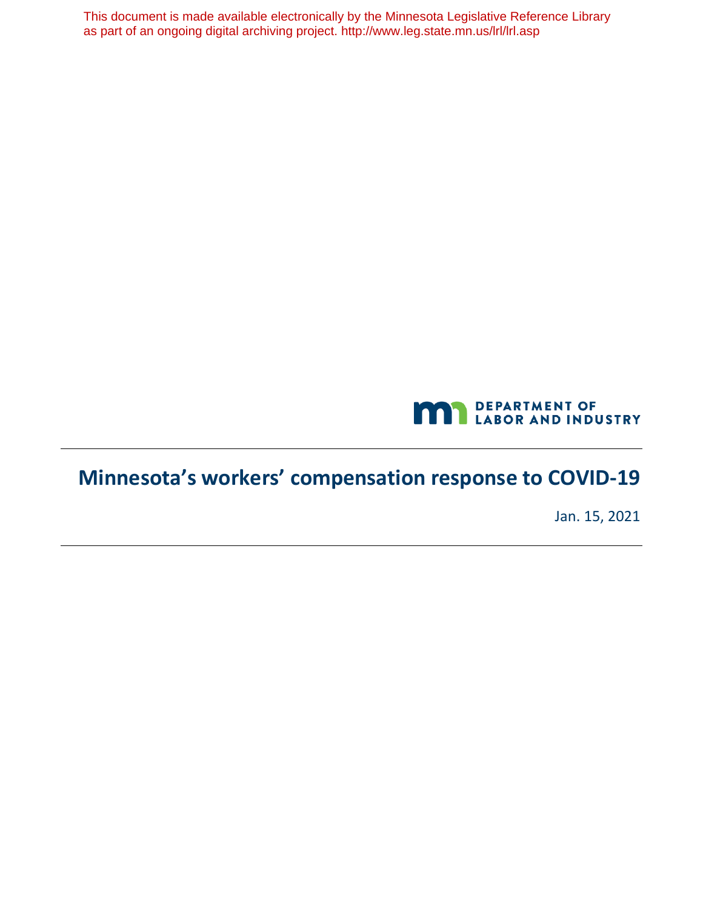This document is made available electronically by the Minnesota Legislative Reference Library as part of an ongoing digital archiving project. http://www.leg.state.mn.us/lrl/lrl.asp



# **Minnesota's workers' compensation response to COVID-19**

Jan. 15, 2021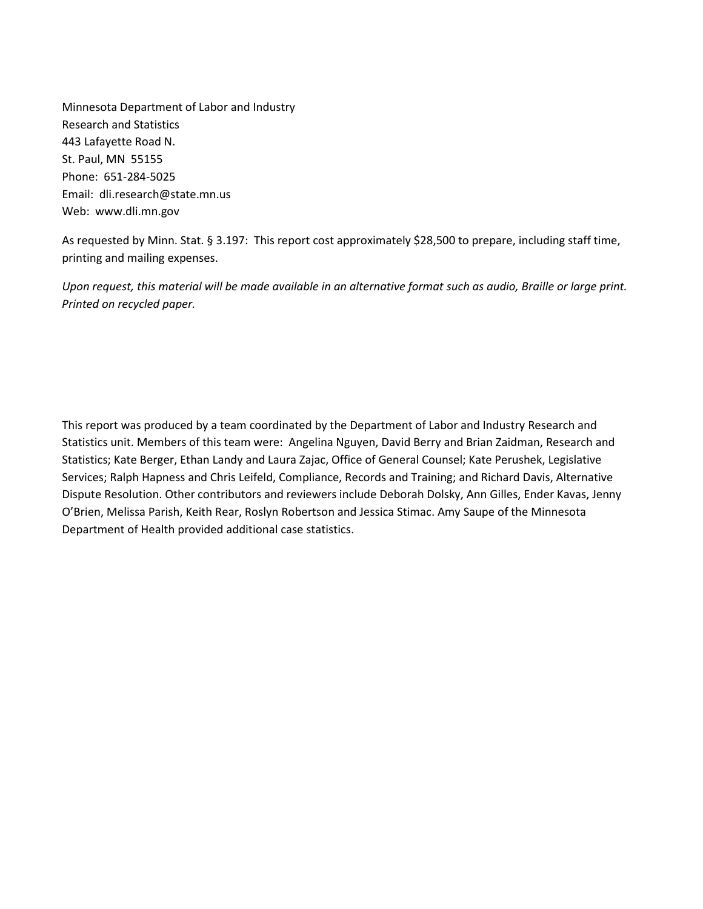Minnesota Department of Labor and Industry St. Paul, MN 55155 Email: [dli.research@state.mn.us](mailto:dli.research@state.mn.us) Web: <www.dli.mn.gov> Research and Statistics 443 Lafayette Road N. Phone: 651-284-5025

 As requested by Minn. Stat. § 3.197: This report cost approximately \$28,500 to prepare, including staff time, printing and mailing expenses.

*Upon request, this material will be made available in an alternative format such as audio, Braille or large print. Printed on recycled paper.* 

 This report was produced by a team coordinated by the Department of Labor and Industry Research and Statistics unit. Members of this team were: Angelina Nguyen, David Berry and Brian Zaidman, Research and Statistics; Kate Berger, Ethan Landy and Laura Zajac, Office of General Counsel; Kate Perushek, Legislative O'Brien, Melissa Parish, Keith Rear, Roslyn Robertson and Jessica Stimac. Amy Saupe of the Minnesota Services; Ralph Hapness and Chris Leifeld, Compliance, Records and Training; and Richard Davis, Alternative Dispute Resolution. Other contributors and reviewers include Deborah Dolsky, Ann Gilles, Ender Kavas, Jenny Department of Health provided additional case statistics.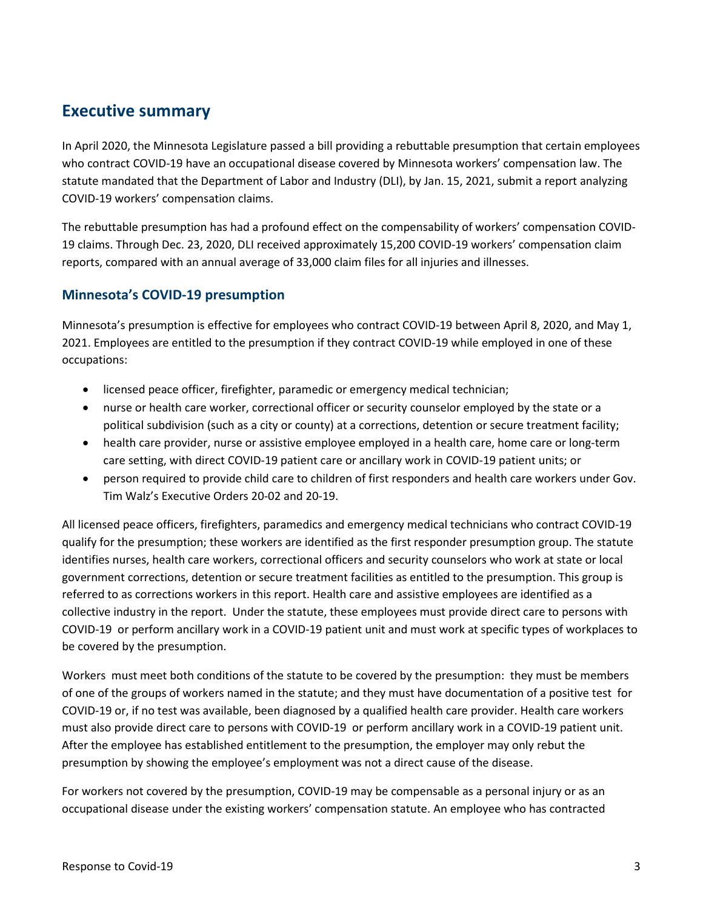## <span id="page-2-0"></span>**Executive summary**

 who contract COVID-19 have an occupational disease covered by Minnesota workers' compensation law. The statute mandated that the Department of Labor and Industry (DLI), by Jan. 15, 2021, submit a report analyzing COVID-19 workers' compensation claims. In April 2020, the Minnesota Legislature passed a bill providing a rebuttable presumption that certain employees

 The rebuttable presumption has had a profound effect on the compensability of workers' compensation COVID- 19 claims. Through Dec. 23, 2020, DLI received approximately 15,200 COVID-19 workers' compensation claim reports, compared with an annual average of 33,000 claim files for all injuries and illnesses.

## <span id="page-2-1"></span>**Minnesota's COVID-19 presumption**

 Minnesota's presumption is effective for employees who contract COVID-19 between April 8, 2020, and May 1, 2021. Employees are entitled to the presumption if they contract COVID-19 while employed in one of these occupations:

- licensed peace officer, firefighter, paramedic or emergency medical technician;
- • nurse or health care worker, correctional officer or security counselor employed by the state or a political subdivision (such as a city or county) at a corrections, detention or secure treatment facility;
- • health care provider, nurse or assistive employee employed in a health care, home care or long-term care setting, with direct COVID-19 patient care or ancillary work in COVID-19 patient units; or
- • person required to provide child care to children of first responders and health care workers under Gov. Tim Walz's Executive Orders 20-02 and 20-19.

 All licensed peace officers, firefighters, paramedics and emergency medical technicians who contract COVID-19 government corrections, detention or secure treatment facilities as entitled to the presumption. This group is referred to as corrections workers in this report. Health care and assistive employees are identified as a collective industry in the report. Under the statute, these employees must provide direct care to persons with COVID-19 or perform ancillary work in a COVID-19 patient unit and must work at specific types of workplaces to qualify for the presumption; these workers are identified as the first responder presumption group. The statute identifies nurses, health care workers, correctional officers and security counselors who work at state or local be covered by the presumption.

 Workers must meet both conditions of the statute to be covered by the presumption: they must be members of one of the groups of workers named in the statute; and they must have documentation of a positive test for COVID-19 or, if no test was available, been diagnosed by a qualified health care provider. Health care workers presumption by showing the employee's employment was not a direct cause of the disease. must also provide direct care to persons with COVID-19 or perform ancillary work in a COVID-19 patient unit. After the employee has established entitlement to the presumption, the employer may only rebut the

 For workers not covered by the presumption, COVID-19 may be compensable as a personal injury or as an occupational disease under the existing workers' compensation statute. An employee who has contracted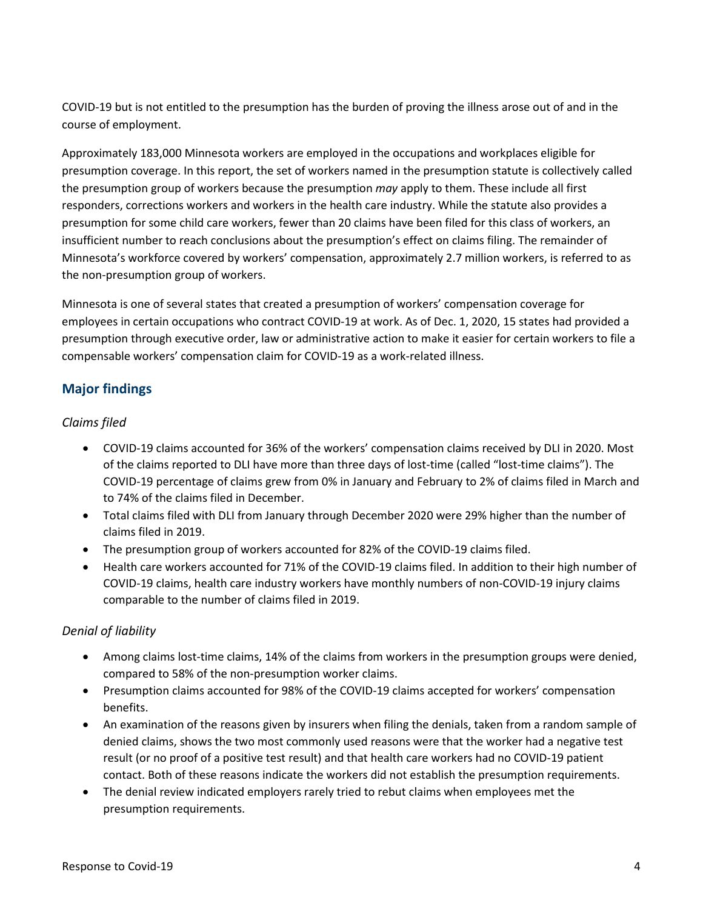COVID-19 but is not entitled to the presumption has the burden of proving the illness arose out of and in the course of employment.

course of employment.<br>Approximately 183,000 Minnesota workers are employed in the occupations and workplaces eligible for the presumption group of workers because the presumption *may* apply to them. These include all first presumption for some child care workers, fewer than 20 claims have been filed for this class of workers, an insufficient number to reach conclusions about the presumption's effect on claims filing. The remainder of Minnesota's workforce covered by workers' compensation, approximately 2.7 million workers, is referred to as the non-presumption group of workers. presumption coverage. In this report, the set of workers named in the presumption statute is collectively called responders, corrections workers and workers in the health care industry. While the statute also provides a

 employees in certain occupations who contract COVID-19 at work. As of Dec. 1, 2020, 15 states had provided a presumption through executive order, law or administrative action to make it easier for certain workers to file a Minnesota is one of several states that created a presumption of workers' compensation coverage for compensable workers' compensation claim for COVID-19 as a work-related illness.

## <span id="page-3-0"></span>**Major findings**

## *Claims filed*

- • COVID-19 claims accounted for 36% of the workers' compensation claims received by DLI in 2020. Most of the claims reported to DLI have more than three days of lost-time (called "lost-time claims"). The COVID-19 percentage of claims grew from 0% in January and February to 2% of claims filed in March and to 74% of the claims filed in December.
- • Total claims filed with DLI from January through December 2020 were 29% higher than the number of claims filed in 2019.
- The presumption group of workers accounted for 82% of the COVID-19 claims filed.
- • Health care workers accounted for 71% of the COVID-19 claims filed. In addition to their high number of COVID-19 claims, health care industry workers have monthly numbers of non-COVID-19 injury claims comparable to the number of claims filed in 2019.

## *Denial of liability*

- compared to 58% of the non-presumption worker claims. • Among claims lost-time claims, 14% of the claims from workers in the presumption groups were denied,
- Presumption claims accounted for 98% of the COVID-19 claims accepted for workers' compensation benefits.
- An examination of the reasons given by insurers when filing the denials, taken from a random sample of denied claims, shows the two most commonly used reasons were that the worker had a negative test result (or no proof of a positive test result) and that health care workers had no COVID-19 patient contact. Both of these reasons indicate the workers did not establish the presumption requirements.
- • The denial review indicated employers rarely tried to rebut claims when employees met the presumption requirements.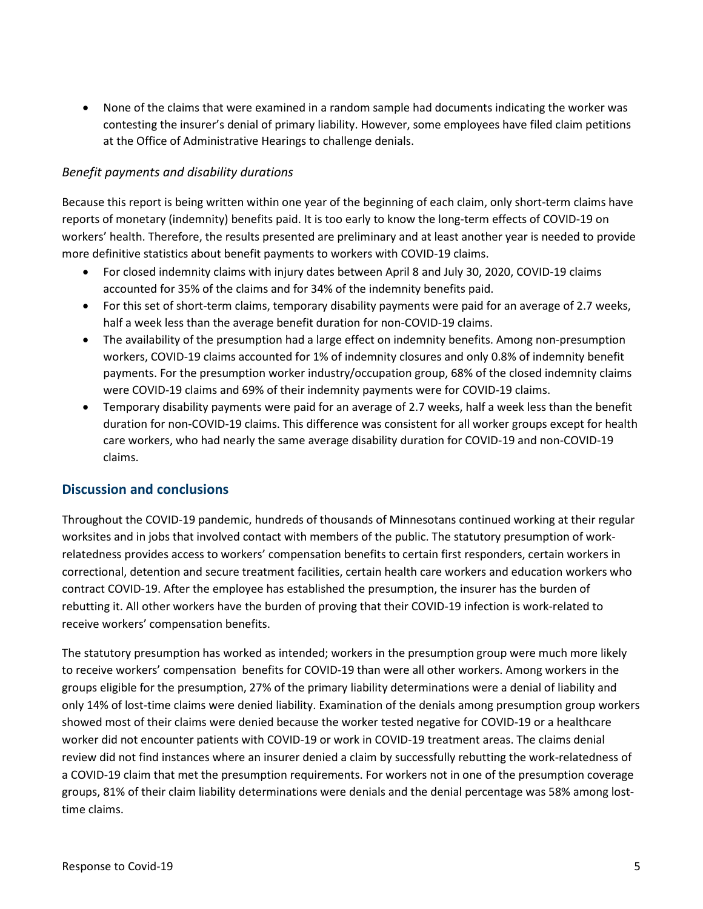• None of the claims that were examined in a random sample had documents indicating the worker was contesting the insurer's denial of primary liability. However, some employees have filed claim petitions at the Office of Administrative Hearings to challenge denials.

#### *Benefit payments and disability durations*

 Because this report is being written within one year of the beginning of each claim, only short-term claims have more definitive statistics about benefit payments to workers with COVID-19 claims. reports of monetary (indemnity) benefits paid. It is too early to know the long-term effects of COVID-19 on workers' health. Therefore, the results presented are preliminary and at least another year is needed to provide

- • For closed indemnity claims with injury dates between April 8 and July 30, 2020, COVID-19 claims accounted for 35% of the claims and for 34% of the indemnity benefits paid.
- • For this set of short-term claims, temporary disability payments were paid for an average of 2.7 weeks, half a week less than the average benefit duration for non-COVID-19 claims.
- • The availability of the presumption had a large effect on indemnity benefits. Among non-presumption payments. For the presumption worker industry/occupation group, 68% of the closed indemnity claims workers, COVID-19 claims accounted for 1% of indemnity closures and only 0.8% of indemnity benefit were COVID-19 claims and 69% of their indemnity payments were for COVID-19 claims.
- Temporary disability payments were paid for an average of 2.7 weeks, half a week less than the benefit duration for non-COVID-19 claims. This difference was consistent for all worker groups except for health care workers, who had nearly the same average disability duration for COVID-19 and non-COVID-19 claims.

### <span id="page-4-0"></span>**Discussion and conclusions**

 Throughout the COVID-19 pandemic, hundreds of thousands of Minnesotans continued working at their regular worksites and in jobs that involved contact with members of the public. The statutory presumption of work- relatedness provides access to workers' compensation benefits to certain first responders, certain workers in correctional, detention and secure treatment facilities, certain health care workers and education workers who contract COVID-19. After the employee has established the presumption, the insurer has the burden of rebutting it. All other workers have the burden of proving that their COVID-19 infection is work-related to receive workers' compensation benefits.

 The statutory presumption has worked as intended; workers in the presumption group were much more likely to receive workers' compensation benefits for COVID-19 than were all other workers. Among workers in the worker did not encounter patients with COVID-19 or work in COVID-19 treatment areas. The claims denial groups, 81% of their claim liability determinations were denials and the denial percentage was 58% among lostgroups eligible for the presumption, 27% of the primary liability determinations were a denial of liability and only 14% of lost-time claims were denied liability. Examination of the denials among presumption group workers showed most of their claims were denied because the worker tested negative for COVID-19 or a healthcare review did not find instances where an insurer denied a claim by successfully rebutting the work-relatedness of a COVID-19 claim that met the presumption requirements. For workers not in one of the presumption coverage time claims.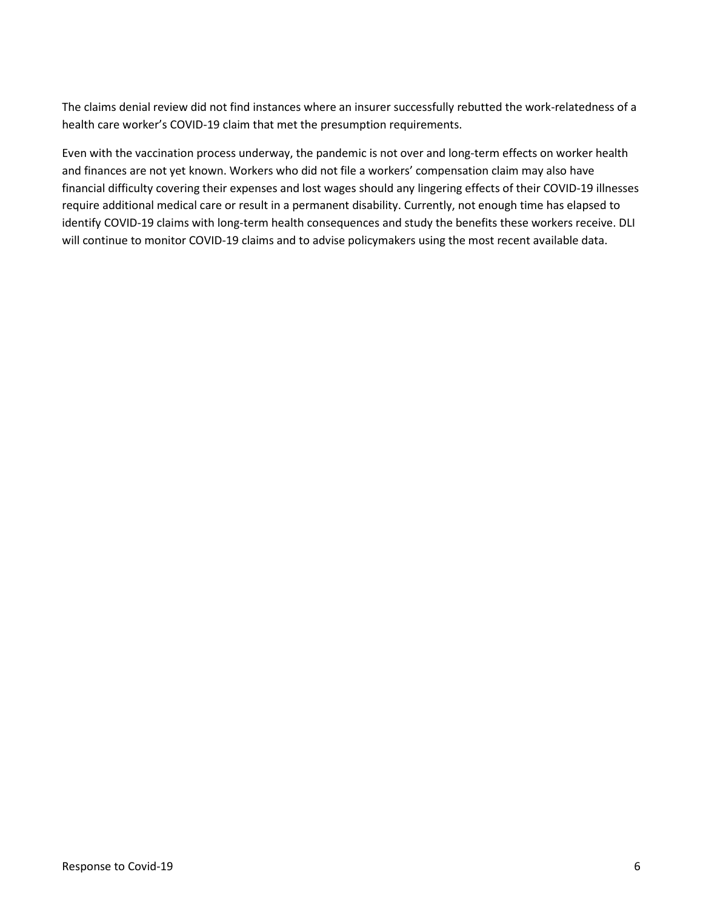The claims denial review did not find instances where an insurer successfully rebutted the work-relatedness of a health care worker's COVID-19 claim that met the presumption requirements.

 and finances are not yet known. Workers who did not file a workers' compensation claim may also have Even with the vaccination process underway, the pandemic is not over and long-term effects on worker health financial difficulty covering their expenses and lost wages should any lingering effects of their COVID-19 illnesses require additional medical care or result in a permanent disability. Currently, not enough time has elapsed to identify COVID-19 claims with long-term health consequences and study the benefits these workers receive. DLI will continue to monitor COVID-19 claims and to advise policymakers using the most recent available data.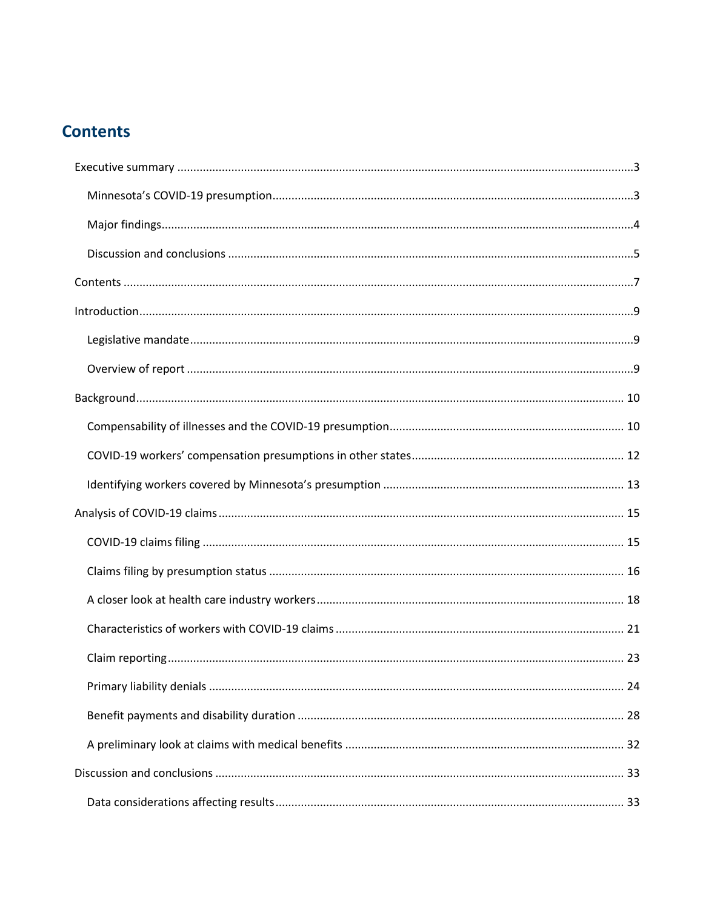## <span id="page-6-0"></span>**Contents**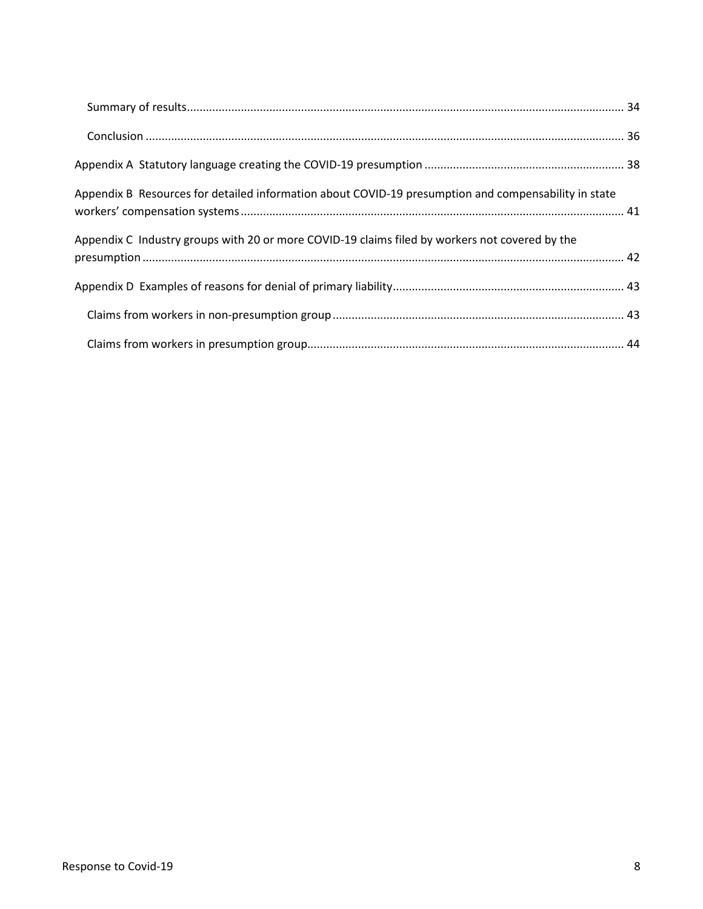| Appendix B Resources for detailed information about COVID-19 presumption and compensability in state |  |
|------------------------------------------------------------------------------------------------------|--|
| Appendix C Industry groups with 20 or more COVID-19 claims filed by workers not covered by the       |  |
|                                                                                                      |  |
|                                                                                                      |  |
|                                                                                                      |  |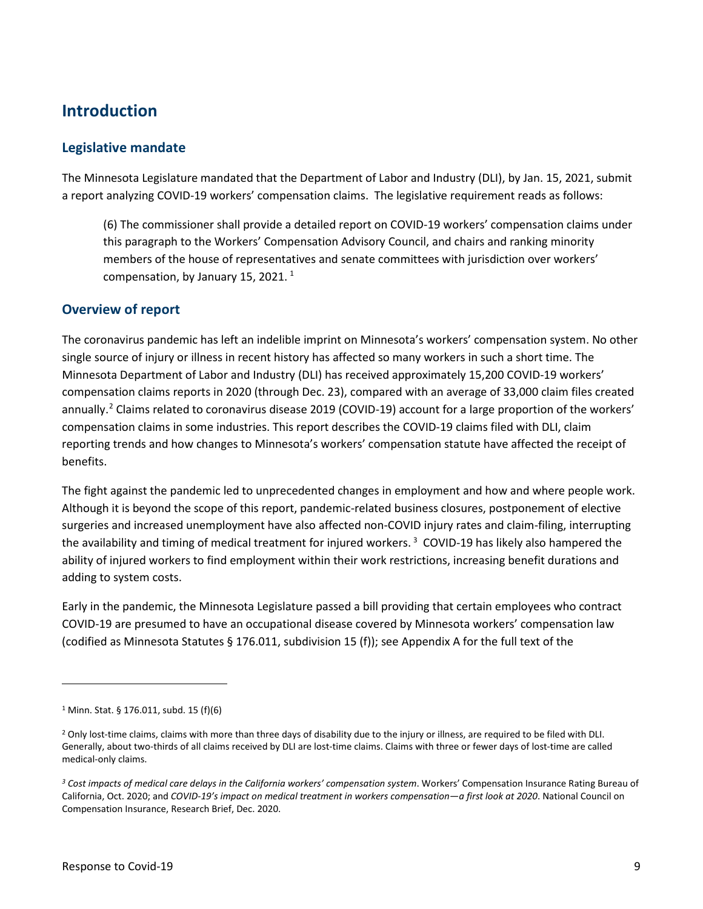## <span id="page-8-0"></span>**Introduction**

### <span id="page-8-1"></span>**Legislative mandate**

 The Minnesota Legislature mandated that the Department of Labor and Industry (DLI), by Jan. 15, 2021, submit a report analyzing COVID-19 workers' compensation claims. The legislative requirement reads as follows:

 members of the house of representatives and senate committees with jurisdiction over workers' compensation, by January [1](#page-8-3)5, 2021.  $^1$ (6) The commissioner shall provide a detailed report on COVID-19 workers' compensation claims under this paragraph to the Workers' Compensation Advisory Council, and chairs and ranking minority

## <span id="page-8-2"></span>**Overview of report**

 The coronavirus pandemic has left an indelible imprint on Minnesota's workers' compensation system. No other single source of injury or illness in recent history has affected so many workers in such a short time. The compensation claims reports in 2020 (through Dec. 23), compared with an average of 33,000 claim files created annually.<sup>2</sup> Claims related to coronavirus disease 2019 (COVID-19) account for a large proportion of the workers' compensation claims in some industries. This report describes the COVID-19 claims filed with DLI, claim Minnesota Department of Labor and Industry (DLI) has received approximately 15,200 COVID-19 workers' reporting trends and how changes to Minnesota's workers' compensation statute have affected the receipt of benefits.

 The fight against the pandemic led to unprecedented changes in employment and how and where people work. Although it is beyond the scope of this report, pandemic-related business closures, postponement of elective the availability and timing of medical treatment for injured workers.<sup>3</sup> COVID-19 has likely also hampered the surgeries and increased unemployment have also affected non-COVID injury rates and claim-filing, interrupting ability of injured workers to find employment within their work restrictions, increasing benefit durations and adding to system costs.

 Early in the pandemic, the Minnesota Legislature passed a bill providing that certain employees who contract COVID-19 are presumed to have an occupational disease covered by Minnesota workers' compensation law (codified as Minnesota Statutes § 176.011, subdivision 15 (f)); see Appendix A for the full text of the

<span id="page-8-3"></span><sup>1</sup> Minn. Stat. § 176.011, subd. 15 (f)(6)

<span id="page-8-4"></span><sup>&</sup>lt;sup>2</sup> Only lost-time claims, claims with more than three days of disability due to the injury or illness, are required to be filed with DLI. Generally, about two-thirds of all claims received by DLI are lost-time claims. Claims with three or fewer days of lost-time are called medical-only claims.

<span id="page-8-5"></span>*<sup>3</sup> Cost impacts of medical care delays in the California workers' compensation system*. Workers' Compensation Insurance Rating Bureau of California, Oct. 2020; and *COVID-19's impact on medical treatment in workers compensation—a first look at 2020*. National Council on Compensation Insurance, Research Brief, Dec. 2020.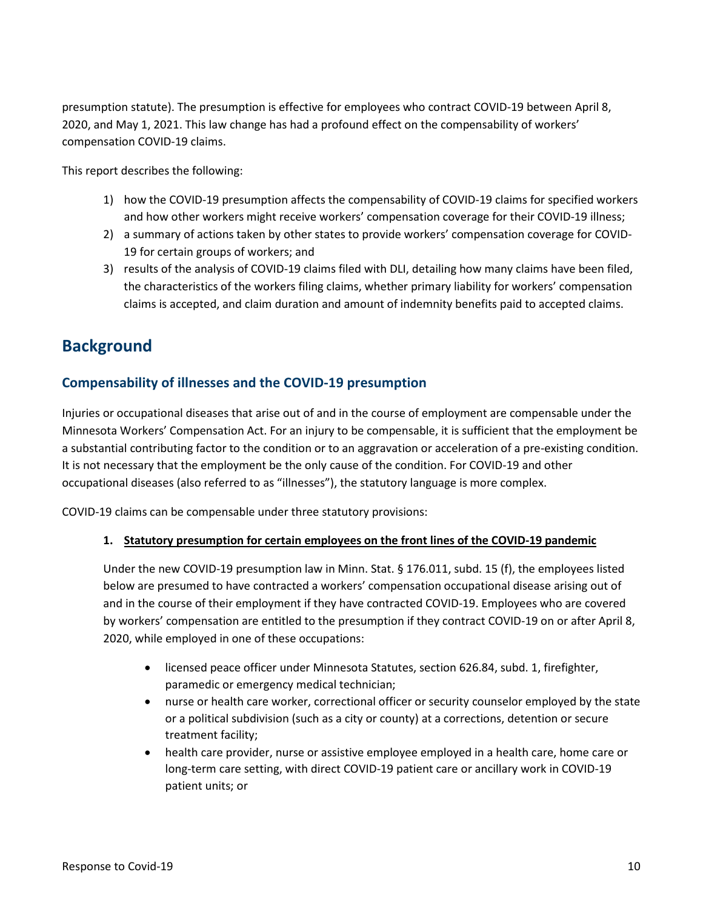presumption statute). The presumption is effective for employees who contract COVID-19 between April 8, 2020, and May 1, 2021. This law change has had a profound effect on the compensability of workers' compensation COVID-19 claims.

This report describes the following:

- 1) how the COVID-19 presumption affects the compensability of COVID-19 claims for specified workers and how other workers might receive workers' compensation coverage for their COVID-19 illness;
- 19 for certain groups of workers; and 2) a summary of actions taken by other states to provide workers' compensation coverage for COVID-
- 3) results of the analysis of COVID-19 claims filed with DLI, detailing how many claims have been filed, the characteristics of the workers filing claims, whether primary liability for workers' compensation claims is accepted, and claim duration and amount of indemnity benefits paid to accepted claims.

## <span id="page-9-0"></span>**Background**

## <span id="page-9-1"></span> **Compensability of illnesses and the COVID-19 presumption**

 Injuries or occupational diseases that arise out of and in the course of employment are compensable under the It is not necessary that the employment be the only cause of the condition. For COVID-19 and other occupational diseases (also referred to as "illnesses"), the statutory language is more complex. Minnesota Workers' Compensation Act. For an injury to be compensable, it is sufficient that the employment be a substantial contributing factor to the condition or to an aggravation or acceleration of a pre-existing condition.

COVID-19 claims can be compensable under three statutory provisions:

#### **1. Statutory presumption for certain employees on the front lines of the COVID-19 pandemic**

 Under the new COVID-19 presumption law in Minn. Stat. § 176.011, subd. 15 (f), the employees listed and in the course of their employment if they have contracted COVID-19. Employees who are covered 2020, while employed in one of these occupations: below are presumed to have contracted a workers' compensation occupational disease arising out of by workers' compensation are entitled to the presumption if they contract COVID-19 on or after April 8,

- paramedic or emergency medical technician; • licensed peace officer under Minnesota Statutes, section 626.84, subd. 1, firefighter,
- or a political subdivision (such as a city or county) at a corrections, detention or secure • nurse or health care worker, correctional officer or security counselor employed by the state treatment facility;
- • health care provider, nurse or assistive employee employed in a health care, home care or long-term care setting, with direct COVID-19 patient care or ancillary work in COVID-19 patient units; or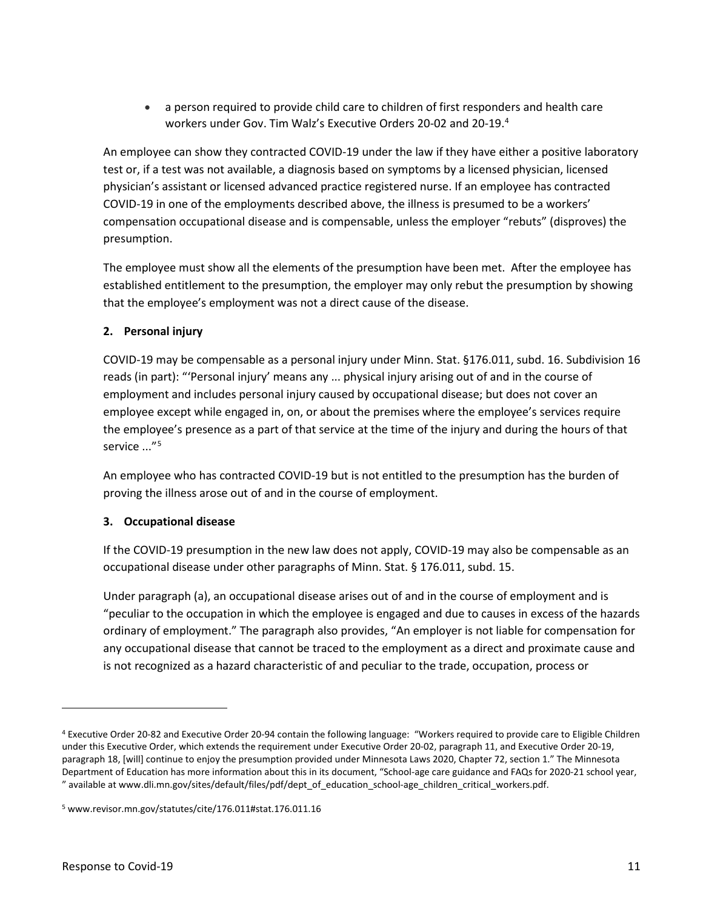• a person required to provide child care to children of first responders and health care workers under Gov. Tim Walz's Executive Orders 20-02 and 20-19.[4](#page-10-0)

 COVID-19 in one of the employments described above, the illness is presumed to be a workers' compensation occupational disease and is compensable, unless the employer "rebuts" (disproves) the An employee can show they contracted COVID-19 under the law if they have either a positive laboratory test or, if a test was not available, a diagnosis based on symptoms by a licensed physician, licensed physician's assistant or licensed advanced practice registered nurse. If an employee has contracted presumption.

 The employee must show all the elements of the presumption have been met. After the employee has established entitlement to the presumption, the employer may only rebut the presumption by showing that the employee's employment was not a direct cause of the disease.

### **2. Personal injury**

 reads (in part): "'Personal injury' means any ... physical injury arising out of and in the course of the employee's presence as a part of that service at the time of the injury and during the hours of that service ..."[5](#page-10-1)  COVID-19 may be compensable as a personal injury under Minn. Stat. §176.011, subd. 16. Subdivision 16 employment and includes personal injury caused by occupational disease; but does not cover an employee except while engaged in, on, or about the premises where the employee's services require

 An employee who has contracted COVID-19 but is not entitled to the presumption has the burden of proving the illness arose out of and in the course of employment.

### **3. Occupational disease**

 If the COVID-19 presumption in the new law does not apply, COVID-19 may also be compensable as an occupational disease under other paragraphs of Minn. Stat. § 176.011, subd. 15.

 "peculiar to the occupation in which the employee is engaged and due to causes in excess of the hazards ordinary of employment." The paragraph also provides, "An employer is not liable for compensation for is not recognized as a hazard characteristic of and peculiar to the trade, occupation, process or Under paragraph (a), an occupational disease arises out of and in the course of employment and is any occupational disease that cannot be traced to the employment as a direct and proximate cause and

<span id="page-10-0"></span><sup>&</sup>lt;sup>4</sup> Executive Order 20-82 and Executive Order 20-94 contain the following language: "Workers required to provide care to Eligible Children Department of Education has more information about this in its document, "School-age care guidance and FAQs for 2020-21 school year, under this Executive Order, which extends the requirement under Executive Order 20-02, paragraph 11, and Executive Order 20-19, paragraph 18, [will] continue to enjoy the presumption provided under Minnesota Laws 2020, Chapter 72, section 1." The Minnesota " available at [www.dli.mn.gov/sites/default/files/pdf/dept\\_of\\_education\\_school-age\\_children\\_critical\\_workers.pdf](www.dli.mn.gov/sites/default/files/pdf/dept_of_education_school-age_children_critical_workers.pdf).

<span id="page-10-1"></span><sup>5</sup> <www.revisor.mn.gov/statutes/cite/176.011#stat.176.011.16>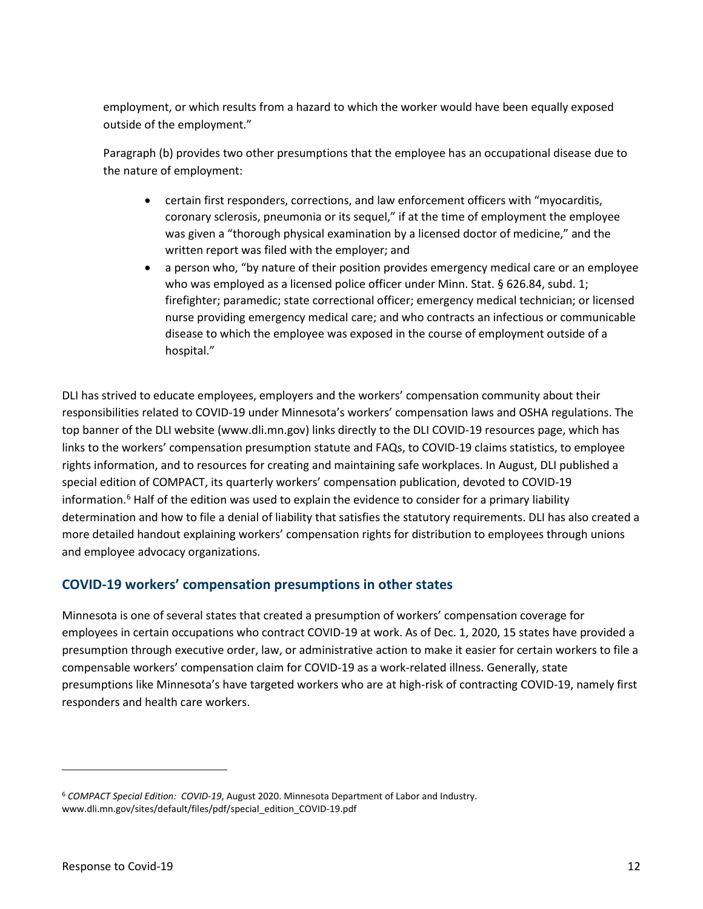employment, or which results from a hazard to which the worker would have been equally exposed outside of the employment."

Paragraph (b) provides two other presumptions that the employee has an occupational disease due to the nature of employment:

- coronary sclerosis, pneumonia or its sequel," if at the time of employment the employee written report was filed with the employer; and • certain first responders, corrections, and law enforcement officers with "myocarditis, was given a "thorough physical examination by a licensed doctor of medicine," and the
- • a person who, "by nature of their position provides emergency medical care or an employee who was employed as a licensed police officer under Minn. Stat. § 626.84, subd. 1; firefighter; paramedic; state correctional officer; emergency medical technician; or licensed nurse providing emergency medical care; and who contracts an infectious or communicable disease to which the employee was exposed in the course of employment outside of a hospital."

 DLI has strived to educate employees, employers and the workers' compensation community about their responsibilities related to COVID-19 under Minnesota's workers' compensation laws and OSHA regulations. The top banner of the DLI website (<www.dli.mn.gov>) links directly to the DLI COVID-19 resources page, which has information.<sup>6</sup> Half of the edition was used to explain the evidence to consider for a primary liability determination and how to file a denial of liability that satisfies the statutory requirements. DLI has also created a links to the workers' compensation presumption statute and FAQs, to COVID-19 claims statistics, to employee rights information, and to resources for creating and maintaining safe workplaces. In August, DLI published a special edition of COMPACT, its quarterly workers' compensation publication, devoted to COVID-19 more detailed handout explaining workers' compensation rights for distribution to employees through unions and employee advocacy organizations.

## <span id="page-11-0"></span>**COVID-19 workers' compensation presumptions in other states**

 employees in certain occupations who contract COVID-19 at work. As of Dec. 1, 2020, 15 states have provided a Minnesota is one of several states that created a presumption of workers' compensation coverage for presumption through executive order, law, or administrative action to make it easier for certain workers to file a compensable workers' compensation claim for COVID-19 as a work-related illness. Generally, state presumptions like Minnesota's have targeted workers who are at high-risk of contracting COVID-19, namely first responders and health care workers.

<span id="page-11-1"></span><sup>6</sup>*COMPACT Special Edition: COVID-19*, August 2020. Minnesota Department of Labor and Industry. [www.dli.mn.gov/sites/default/files/pdf/special\\_edition\\_COVID-19.pdf](www.dli.mn.gov/sites/default/files/pdf/special_edition_COVID-19.pdf)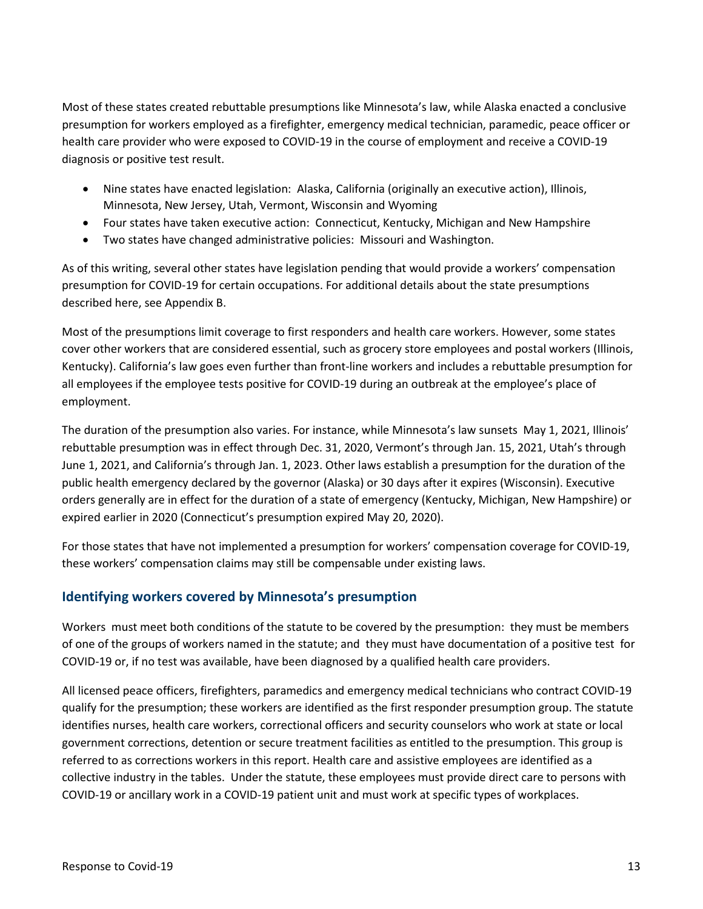Most of these states created rebuttable presumptions like Minnesota's law, while Alaska enacted a conclusive presumption for workers employed as a firefighter, emergency medical technician, paramedic, peace officer or health care provider who were exposed to COVID-19 in the course of employment and receive a COVID-19 diagnosis or positive test result.

- Nine states have enacted legislation: Alaska, California (originally an executive action), Illinois, Minnesota, New Jersey, Utah, Vermont, Wisconsin and Wyoming
- Four states have taken executive action: Connecticut, Kentucky, Michigan and New Hampshire
- Two states have changed administrative policies: Missouri and Washington.

 presumption for COVID-19 for certain occupations. For additional details about the state presumptions As of this writing, several other states have legislation pending that would provide a workers' compensation described here, see Appendix B.

 Kentucky). California's law goes even further than front-line workers and includes a rebuttable presumption for Most of the presumptions limit coverage to first responders and health care workers. However, some states cover other workers that are considered essential, such as grocery store employees and postal workers (Illinois, all employees if the employee tests positive for COVID-19 during an outbreak at the employee's place of employment.

 The duration of the presumption also varies. For instance, while Minnesota's law sunsets May 1, 2021, Illinois' June 1, 2021, and California's through Jan. 1, 2023. Other laws establish a presumption for the duration of the public health emergency declared by the governor (Alaska) or 30 days after it expires (Wisconsin). Executive rebuttable presumption was in effect through Dec. 31, 2020, Vermont's through Jan. 15, 2021, Utah's through orders generally are in effect for the duration of a state of emergency (Kentucky, Michigan, New Hampshire) or expired earlier in 2020 (Connecticut's presumption expired May 20, 2020).

 these workers' compensation claims may still be compensable under existing laws. For those states that have not implemented a presumption for workers' compensation coverage for COVID-19,

## <span id="page-12-0"></span>**Identifying workers covered by Minnesota's presumption**

 Workers must meet both conditions of the statute to be covered by the presumption: they must be members of one of the groups of workers named in the statute; and they must have documentation of a positive test for COVID-19 or, if no test was available, have been diagnosed by a qualified health care providers.

 All licensed peace officers, firefighters, paramedics and emergency medical technicians who contract COVID-19 government corrections, detention or secure treatment facilities as entitled to the presumption. This group is referred to as corrections workers in this report. Health care and assistive employees are identified as a collective industry in the tables. Under the statute, these employees must provide direct care to persons with qualify for the presumption; these workers are identified as the first responder presumption group. The statute identifies nurses, health care workers, correctional officers and security counselors who work at state or local COVID-19 or ancillary work in a COVID-19 patient unit and must work at specific types of workplaces.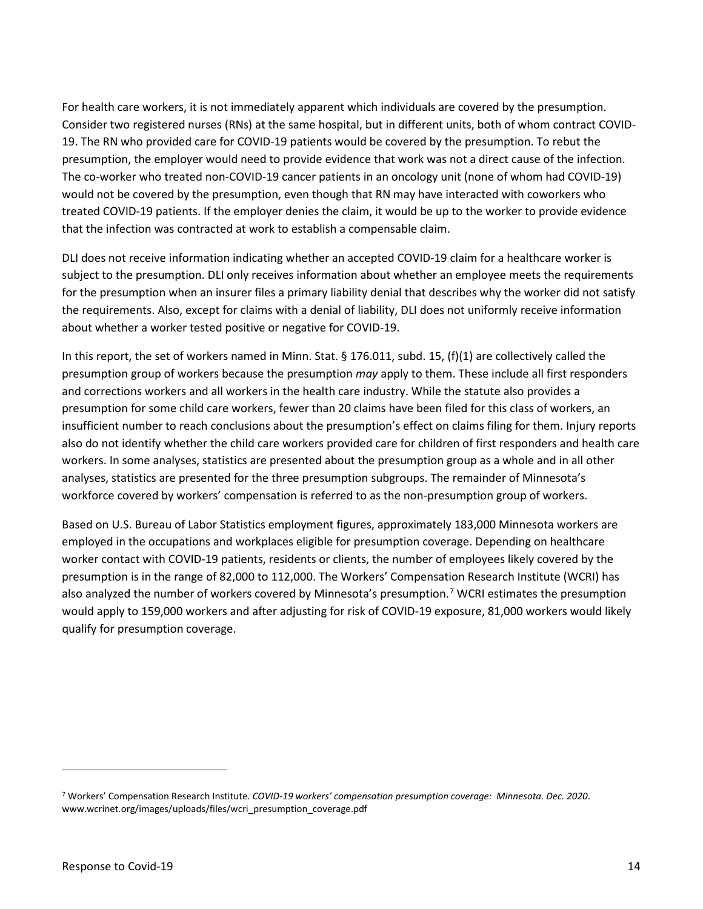Consider two registered nurses (RNs) at the same hospital, but in different units, both of whom contract COVID- 19. The RN who provided care for COVID-19 patients would be covered by the presumption. To rebut the The co-worker who treated non-COVID-19 cancer patients in an oncology unit (none of whom had COVID-19) would not be covered by the presumption, even though that RN may have interacted with coworkers who For health care workers, it is not immediately apparent which individuals are covered by the presumption. presumption, the employer would need to provide evidence that work was not a direct cause of the infection. treated COVID-19 patients. If the employer denies the claim, it would be up to the worker to provide evidence that the infection was contracted at work to establish a compensable claim.

 subject to the presumption. DLI only receives information about whether an employee meets the requirements for the presumption when an insurer files a primary liability denial that describes why the worker did not satisfy DLI does not receive information indicating whether an accepted COVID-19 claim for a healthcare worker is the requirements. Also, except for claims with a denial of liability, DLI does not uniformly receive information about whether a worker tested positive or negative for COVID-19.

 In this report, the set of workers named in Minn. Stat. § 176.011, subd. 15, (f)(1) are collectively called the presumption group of workers because the presumption *may* apply to them. These include all first responders and corrections workers and all workers in the health care industry. While the statute also provides a presumption for some child care workers, fewer than 20 claims have been filed for this class of workers, an insufficient number to reach conclusions about the presumption's effect on claims filing for them. Injury reports workers. In some analyses, statistics are presented about the presumption group as a whole and in all other analyses, statistics are presented for the three presumption subgroups. The remainder of Minnesota's also do not identify whether the child care workers provided care for children of first responders and health care workforce covered by workers' compensation is referred to as the non-presumption group of workers.

 Based on U.S. Bureau of Labor Statistics employment figures, approximately 183,000 Minnesota workers are also analyzed the number of workers covered by Minnesota's presumption.<sup>[7](#page-13-0)</sup> WCRI estimates the presumption would apply to 159,000 workers and after adjusting for risk of COVID-19 exposure, 81,000 workers would likely employed in the occupations and workplaces eligible for presumption coverage. Depending on healthcare worker contact with COVID-19 patients, residents or clients, the number of employees likely covered by the presumption is in the range of 82,000 to 112,000. The Workers' Compensation Research Institute (WCRI) has qualify for presumption coverage.

<span id="page-13-0"></span><sup>7</sup> Workers' Compensation Research Institute*. COVID-19 workers' compensation presumption coverage: Minnesota. Dec. 2020*. [www.wcrinet.org/images/uploads/files/wcri\\_presumption\\_coverage.pdf](www.wcrinet.org/images/uploads/files/wcri_presumption_coverage.pdf)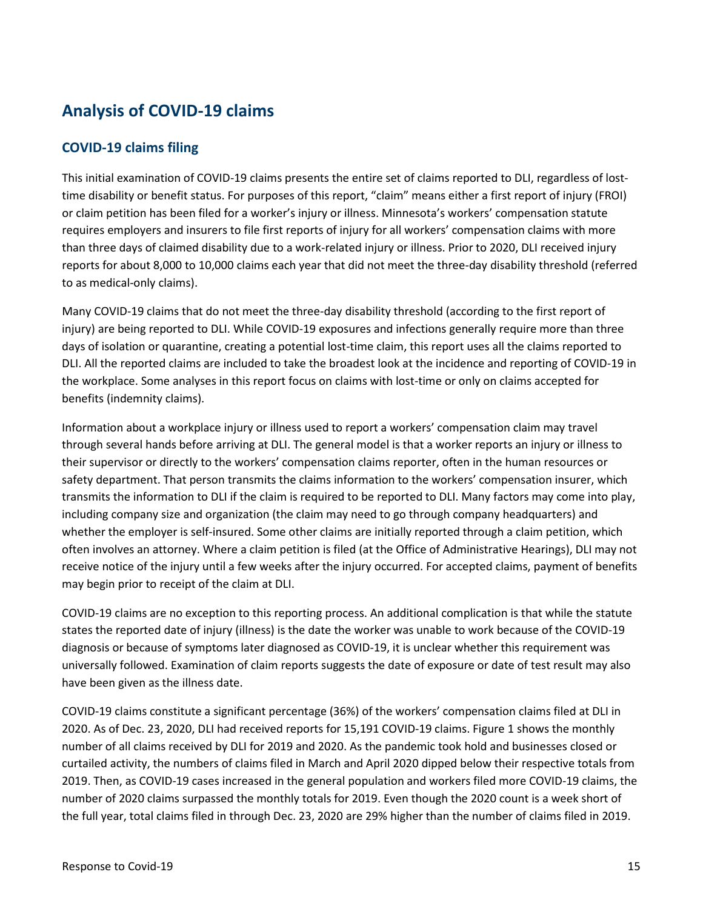## <span id="page-14-0"></span>**Analysis of COVID-19 claims**

## <span id="page-14-1"></span>**COVID-19 claims filing**

 time disability or benefit status. For purposes of this report, "claim" means either a first report of injury (FROI) requires employers and insurers to file first reports of injury for all workers' compensation claims with more than three days of claimed disability due to a work-related injury or illness. Prior to 2020, DLI received injury This initial examination of COVID-19 claims presents the entire set of claims reported to DLI, regardless of lostor claim petition has been filed for a worker's injury or illness. Minnesota's workers' compensation statute reports for about 8,000 to 10,000 claims each year that did not meet the three-day disability threshold (referred to as medical-only claims).

 injury) are being reported to DLI. While COVID-19 exposures and infections generally require more than three the workplace. Some analyses in this report focus on claims with lost-time or only on claims accepted for Many COVID-19 claims that do not meet the three-day disability threshold (according to the first report of days of isolation or quarantine, creating a potential lost-time claim, this report uses all the claims reported to DLI. All the reported claims are included to take the broadest look at the incidence and reporting of COVID-19 in benefits (indemnity claims).

 Information about a workplace injury or illness used to report a workers' compensation claim may travel through several hands before arriving at DLI. The general model is that a worker reports an injury or illness to their supervisor or directly to the workers' compensation claims reporter, often in the human resources or safety department. That person transmits the claims information to the workers' compensation insurer, which including company size and organization (the claim may need to go through company headquarters) and often involves an attorney. Where a claim petition is filed (at the Office of Administrative Hearings), DLI may not receive notice of the injury until a few weeks after the injury occurred. For accepted claims, payment of benefits transmits the information to DLI if the claim is required to be reported to DLI. Many factors may come into play, whether the employer is self-insured. Some other claims are initially reported through a claim petition, which may begin prior to receipt of the claim at DLI.

 COVID-19 claims are no exception to this reporting process. An additional complication is that while the statute universally followed. Examination of claim reports suggests the date of exposure or date of test result may also states the reported date of injury (illness) is the date the worker was unable to work because of the COVID-19 diagnosis or because of symptoms later diagnosed as COVID-19, it is unclear whether this requirement was have been given as the illness date.

 COVID-19 claims constitute a significant percentage (36%) of the workers' compensation claims filed at DLI in 2020. As of Dec. 23, 2020, DLI had received reports for 15,191 COVID-19 claims. Figure 1 shows the monthly the full year, total claims filed in through Dec. 23, 2020 are 29% higher than the number of claims filed in 2019. number of all claims received by DLI for 2019 and 2020. As the pandemic took hold and businesses closed or curtailed activity, the numbers of claims filed in March and April 2020 dipped below their respective totals from 2019. Then, as COVID-19 cases increased in the general population and workers filed more COVID-19 claims, the number of 2020 claims surpassed the monthly totals for 2019. Even though the 2020 count is a week short of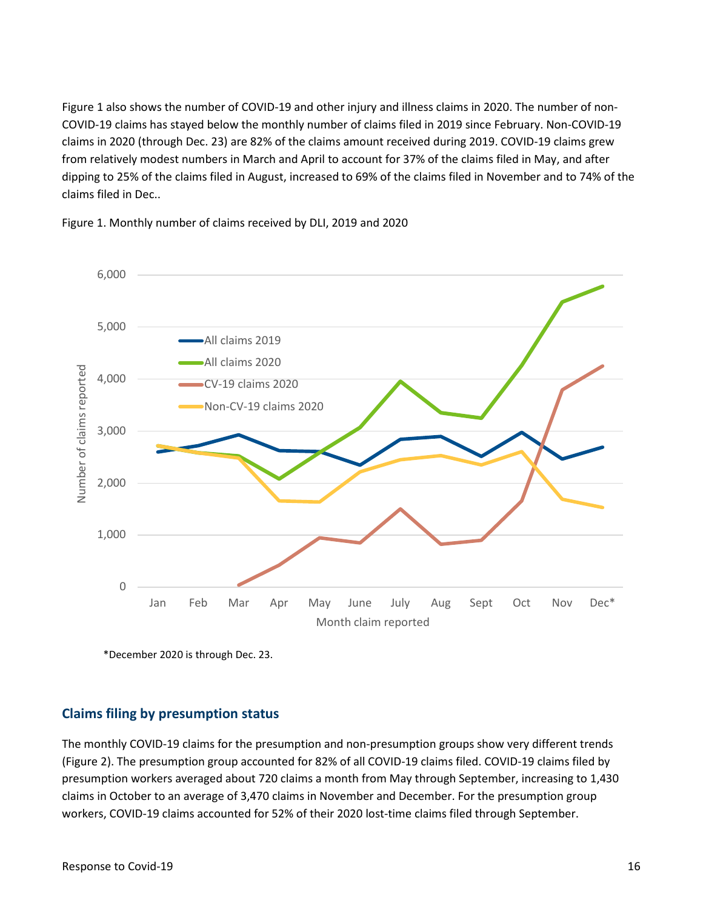claims in 2020 (through Dec. 23) are 82% of the claims amount received during 2019. COVID-19 claims grew dipping to 25% of the claims filed in August, increased to 69% of the claims filed in November and to 74% of the Figure 1 also shows the number of COVID-19 and other injury and illness claims in 2020. The number of non-COVID-19 claims has stayed below the monthly number of claims filed in 2019 since February. Non-COVID-19 from relatively modest numbers in March and April to account for 37% of the claims filed in May, and after claims filed in Dec..



Figure 1. Monthly number of claims received by DLI, 2019 and 2020

\*December 2020 is through Dec. 23.

### <span id="page-15-0"></span>**Claims filing by presumption status**

 claims in October to an average of 3,470 claims in November and December. For the presumption group workers, COVID-19 claims accounted for 52% of their 2020 lost-time claims filed through September. The monthly COVID-19 claims for the presumption and non-presumption groups show very different trends (Figure 2). The presumption group accounted for 82% of all COVID-19 claims filed. COVID-19 claims filed by presumption workers averaged about 720 claims a month from May through September, increasing to 1,430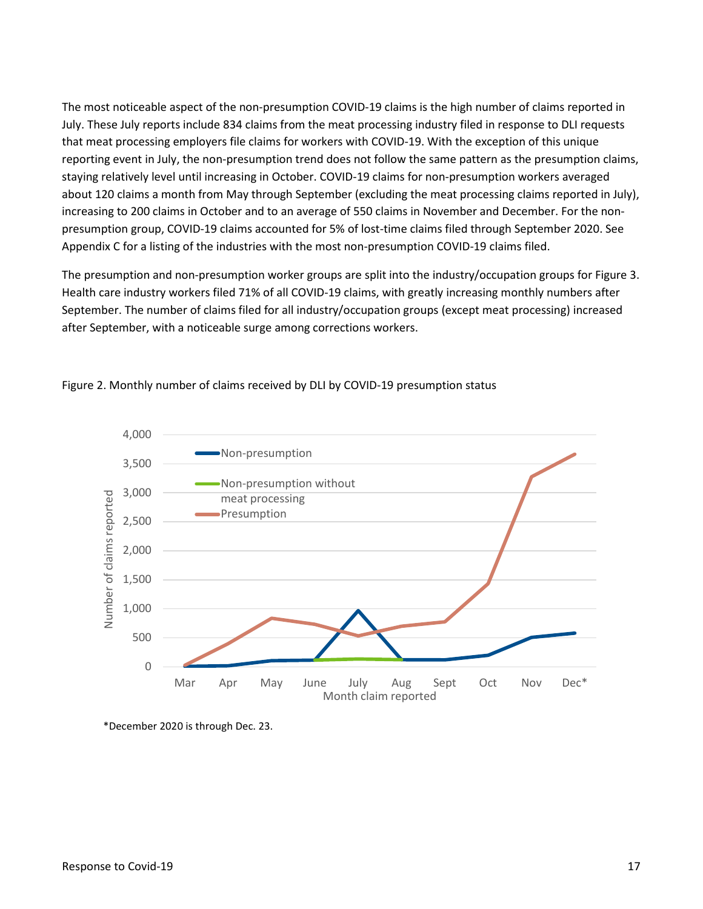The most noticeable aspect of the non-presumption COVID-19 claims is the high number of claims reported in July. These July reports include 834 claims from the meat processing industry filed in response to DLI requests that meat processing employers file claims for workers with COVID-19. With the exception of this unique reporting event in July, the non-presumption trend does not follow the same pattern as the presumption claims, Appendix C for a listing of the industries with the most non-presumption COVID-19 claims filed. staying relatively level until increasing in October. COVID-19 claims for non-presumption workers averaged about 120 claims a month from May through September (excluding the meat processing claims reported in July), increasing to 200 claims in October and to an average of 550 claims in November and December. For the nonpresumption group, COVID-19 claims accounted for 5% of lost-time claims filed through September 2020. See

 after September, with a noticeable surge among corrections workers. The presumption and non-presumption worker groups are split into the industry/occupation groups for Figure 3. Health care industry workers filed 71% of all COVID-19 claims, with greatly increasing monthly numbers after September. The number of claims filed for all industry/occupation groups (except meat processing) increased



Figure 2. Monthly number of claims received by DLI by COVID-19 presumption status

\*December 2020 is through Dec. 23.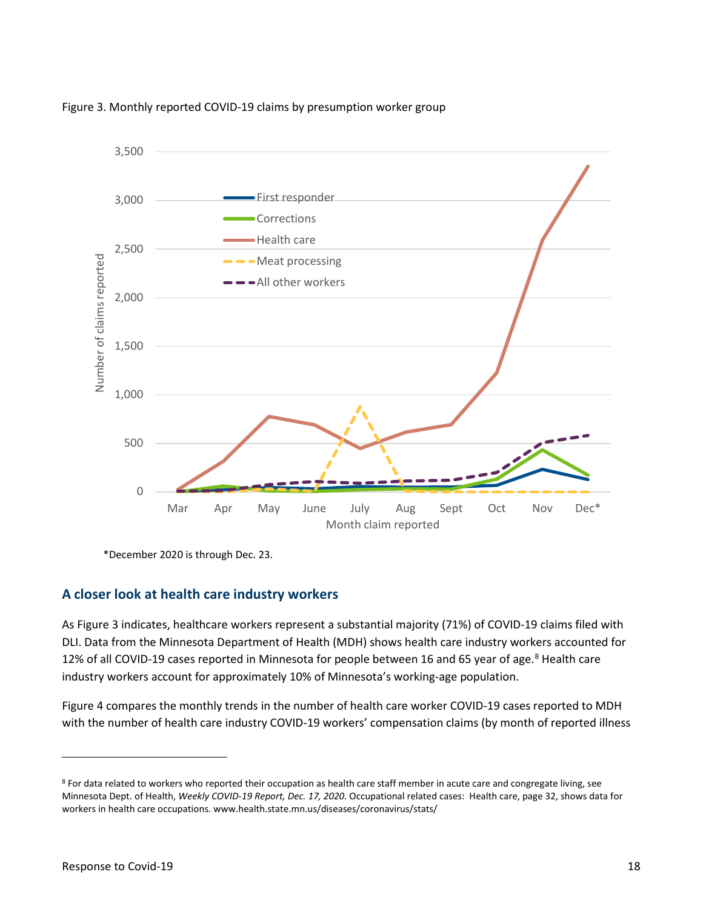

Figure 3. Monthly reported COVID-19 claims by presumption worker group

\*December 2020 is through Dec. 23.

## <span id="page-17-0"></span>**A closer look at health care industry workers**

 DLI. Data from the Minnesota Department of Health (MDH) shows health care industry workers accounted for 12% of all COVID-19 cases reported in Minnesota for people between 16 and 65 year of age.<sup>[8](#page-17-1)</sup> Health care industry workers account for approximately 10% of Minnesota's working-age population. As Figure 3 indicates, healthcare workers represent a substantial majority (71%) of COVID-19 claims filed with

 Figure 4 compares the monthly trends in the number of health care worker COVID-19 cases reported to MDH with the number of health care industry COVID-19 workers' compensation claims (by month of reported illness

<span id="page-17-1"></span><sup>8</sup> For data related to workers who reported their occupation as health care staff member in acute care and congregate living, see Minnesota Dept. of Health, *Weekly COVID-19 Report, Dec. 17, 2020*. Occupational related cases: Health care, page 32, shows data for workers in health care occupations. [www.health.state.mn.us/diseases/coronavirus/stats/](www.health.state.mn.us/diseases/coronavirus/stats)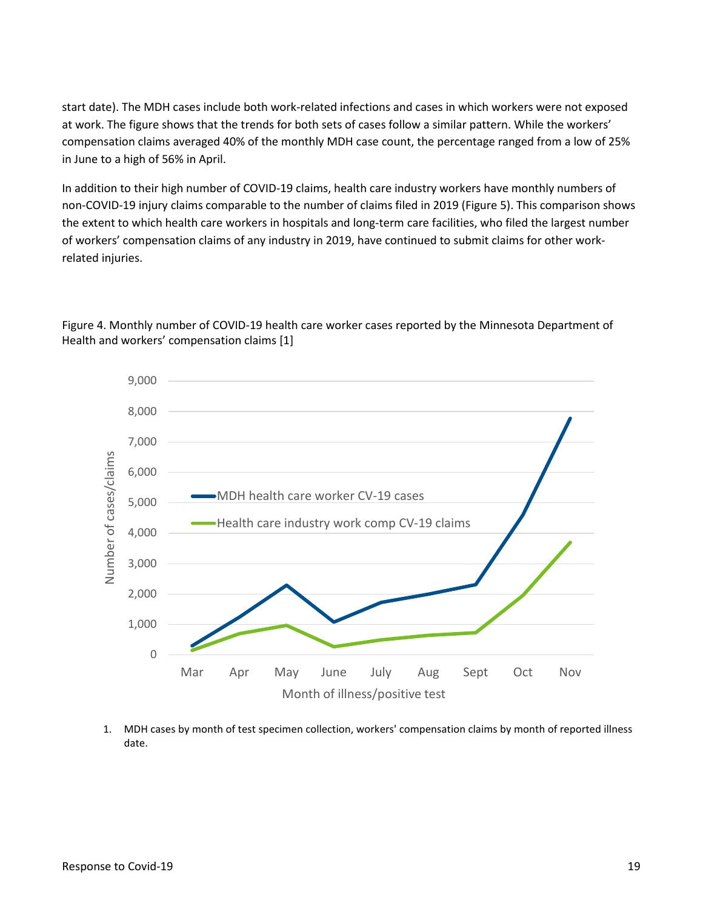start date). The MDH cases include both work-related infections and cases in which workers were not exposed at work. The figure shows that the trends for both sets of cases follow a similar pattern. While the workers' compensation claims averaged 40% of the monthly MDH case count, the percentage ranged from a low of 25% in June to a high of 56% in April.

 In addition to their high number of COVID-19 claims, health care industry workers have monthly numbers of non-COVID-19 injury claims comparable to the number of claims filed in 2019 (Figure 5). This comparison shows the extent to which health care workers in hospitals and long-term care facilities, who filed the largest number of workers' compensation claims of any industry in 2019, have continued to submit claims for other workrelated injuries.



 Health and workers' compensation claims [1] Figure 4. Monthly number of COVID-19 health care worker cases reported by the Minnesota Department of

1. MDH cases by month of test specimen collection, workers' compensation claims by month of reported illness date.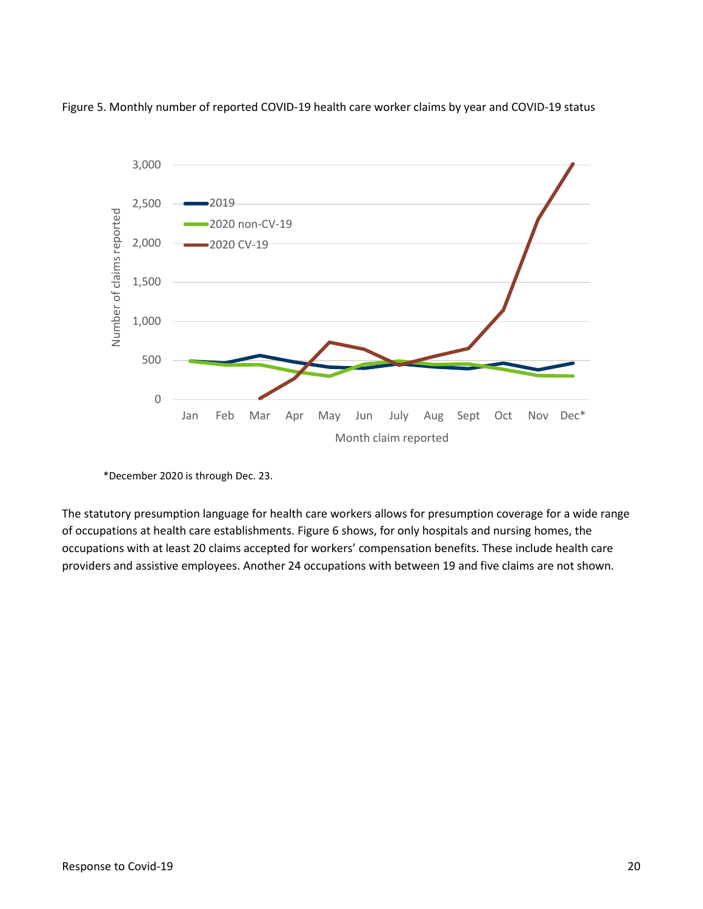

Figure 5. Monthly number of reported COVID-19 health care worker claims by year and COVID-19 status

 of occupations at health care establishments. Figure 6 shows, for only hospitals and nursing homes, the occupations with at least 20 claims accepted for workers' compensation benefits. These include health care The statutory presumption language for health care workers allows for presumption coverage for a wide range providers and assistive employees. Another 24 occupations with between 19 and five claims are not shown.

 \*December 2020 is through Dec. 23.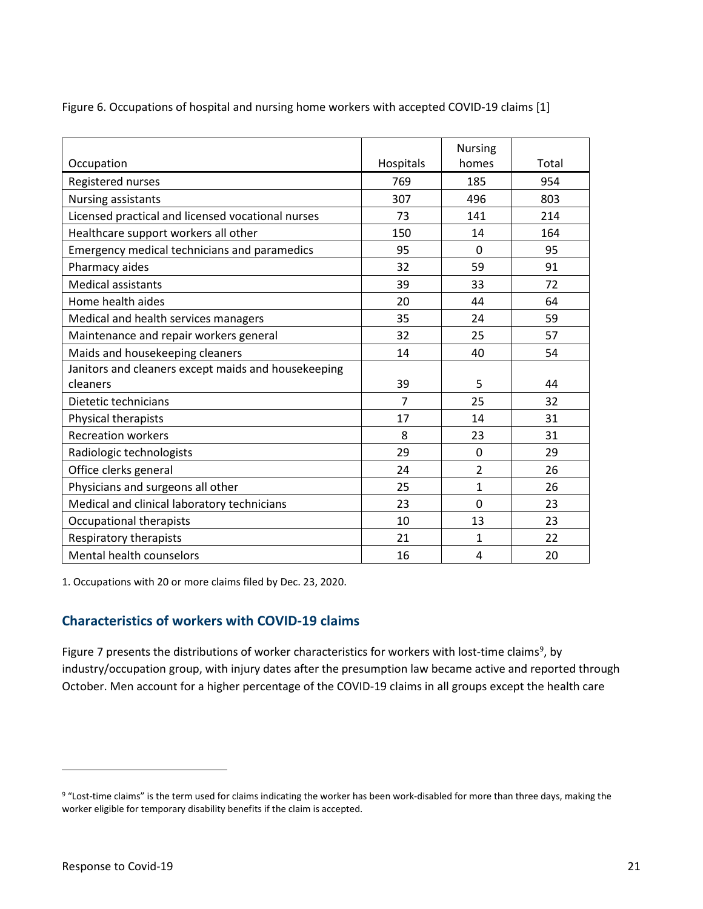|                                                     |                | <b>Nursing</b> |       |
|-----------------------------------------------------|----------------|----------------|-------|
| Occupation                                          | Hospitals      | homes          | Total |
| Registered nurses                                   | 769            | 185            | 954   |
| Nursing assistants                                  | 307            | 496            | 803   |
| Licensed practical and licensed vocational nurses   | 73             | 141            | 214   |
| Healthcare support workers all other                | 150            | 14             | 164   |
| Emergency medical technicians and paramedics        | 95             | 0              | 95    |
| Pharmacy aides                                      | 32             | 59             | 91    |
| <b>Medical assistants</b>                           | 39             | 33             | 72    |
| Home health aides                                   | 20             | 44             | 64    |
| Medical and health services managers                | 35             | 24             | 59    |
| Maintenance and repair workers general              | 32             | 25             | 57    |
| Maids and housekeeping cleaners                     | 14             | 40             | 54    |
| Janitors and cleaners except maids and housekeeping |                |                |       |
| cleaners                                            | 39             | 5              | 44    |
| Dietetic technicians                                | $\overline{7}$ | 25             | 32    |
| Physical therapists                                 | 17             | 14             | 31    |
| <b>Recreation workers</b>                           | 8              | 23             | 31    |
| Radiologic technologists                            | 29             | 0              | 29    |
| Office clerks general                               | 24             | $\overline{2}$ | 26    |
| Physicians and surgeons all other                   | 25             | $\mathbf{1}$   | 26    |
| Medical and clinical laboratory technicians         | 23             | 0              | 23    |
| Occupational therapists                             | 10             | 13             | 23    |
| Respiratory therapists                              | 21             | $\mathbf{1}$   | 22    |
| Mental health counselors                            | 16             | 4              | 20    |

Figure 6. Occupations of hospital and nursing home workers with accepted COVID-19 claims [1]

1. Occupations with 20 or more claims filed by Dec. 23, 2020.

## <span id="page-20-0"></span>**Characteristics of workers with COVID-19 claims**

Figure 7 presents the distributions of worker characteristics for workers with lost-time claims<sup>[9](#page-20-1)</sup>, by industry/occupation group, with injury dates after the presumption law became active and reported through October. Men account for a higher percentage of the COVID-19 claims in all groups except the health care

<span id="page-20-1"></span><sup>&</sup>lt;sup>9</sup> "Lost-time claims" is the term used for claims indicating the worker has been work-disabled for more than three days, making the worker eligible for temporary disability benefits if the claim is accepted.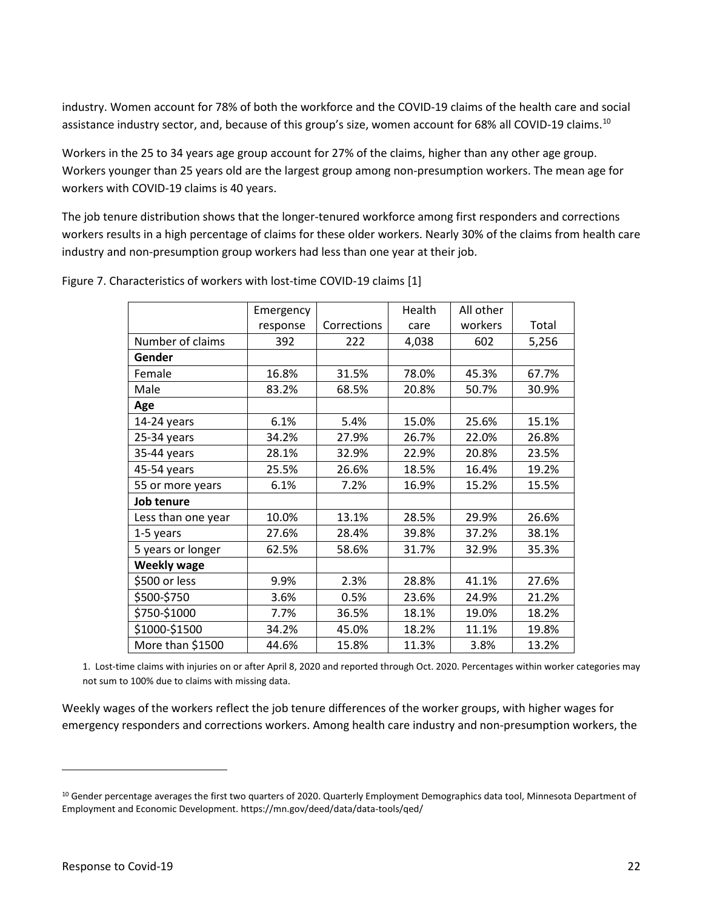assistance industry sector, and, because of this group's size, women account for 68% all COVID-19 claims.<sup>[10](#page-21-0)</sup> industry. Women account for 78% of both the workforce and the COVID-19 claims of the health care and social

 Workers in the 25 to 34 years age group account for 27% of the claims, higher than any other age group. Workers younger than 25 years old are the largest group among non-presumption workers. The mean age for workers with COVID-19 claims is 40 years.

 The job tenure distribution shows that the longer-tenured workforce among first responders and corrections workers results in a high percentage of claims for these older workers. Nearly 30% of the claims from health care industry and non-presumption group workers had less than one year at their job.

|                    | Emergency |             | Health | All other |       |
|--------------------|-----------|-------------|--------|-----------|-------|
|                    | response  | Corrections | care   | workers   | Total |
| Number of claims   | 392       | 222         | 4,038  | 602       | 5,256 |
| Gender             |           |             |        |           |       |
| Female             | 16.8%     | 31.5%       | 78.0%  | 45.3%     | 67.7% |
| Male               | 83.2%     | 68.5%       | 20.8%  | 50.7%     | 30.9% |
| Age                |           |             |        |           |       |
| 14-24 years        | 6.1%      | 5.4%        | 15.0%  | 25.6%     | 15.1% |
| 25-34 years        | 34.2%     | 27.9%       | 26.7%  | 22.0%     | 26.8% |
| 35-44 years        | 28.1%     | 32.9%       | 22.9%  | 20.8%     | 23.5% |
| 45-54 years        | 25.5%     | 26.6%       | 18.5%  | 16.4%     | 19.2% |
| 55 or more years   | 6.1%      | 7.2%        | 16.9%  | 15.2%     | 15.5% |
| Job tenure         |           |             |        |           |       |
| Less than one year | 10.0%     | 13.1%       | 28.5%  | 29.9%     | 26.6% |
| 1-5 years          | 27.6%     | 28.4%       | 39.8%  | 37.2%     | 38.1% |
| 5 years or longer  | 62.5%     | 58.6%       | 31.7%  | 32.9%     | 35.3% |
| <b>Weekly wage</b> |           |             |        |           |       |
| \$500 or less      | 9.9%      | 2.3%        | 28.8%  | 41.1%     | 27.6% |
| \$500-\$750        | 3.6%      | 0.5%        | 23.6%  | 24.9%     | 21.2% |
| \$750-\$1000       | 7.7%      | 36.5%       | 18.1%  | 19.0%     | 18.2% |
| \$1000-\$1500      | 34.2%     | 45.0%       | 18.2%  | 11.1%     | 19.8% |
| More than \$1500   | 44.6%     | 15.8%       | 11.3%  | 3.8%      | 13.2% |

Figure 7. Characteristics of workers with lost-time COVID-19 claims [1]

 1. Lost-time claims with injuries on or after April 8, 2020 and reported through Oct. 2020. Percentages within worker categories may not sum to 100% due to claims with missing data.

 Weekly wages of the workers reflect the job tenure differences of the worker groups, with higher wages for emergency responders and corrections workers. Among health care industry and non-presumption workers, the

<span id="page-21-0"></span><sup>&</sup>lt;sup>10</sup> Gender percentage averages the first two quarters of 2020. Quarterly Employment Demographics data tool, Minnesota Department of Employment and Economic Development. <https://mn.gov/deed/data/data-tools/qed>/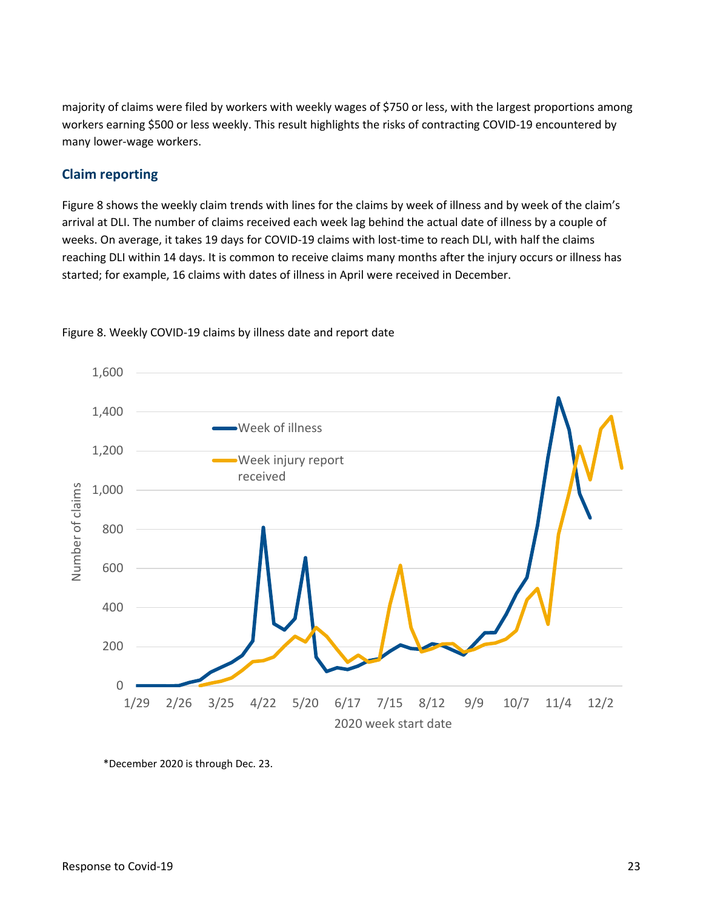majority of claims were filed by workers with weekly wages of \$750 or less, with the largest proportions among workers earning \$500 or less weekly. This result highlights the risks of contracting COVID-19 encountered by many lower-wage workers.

## <span id="page-22-0"></span>**Claim reporting**

 Figure 8 shows the weekly claim trends with lines for the claims by week of illness and by week of the claim's arrival at DLI. The number of claims received each week lag behind the actual date of illness by a couple of weeks. On average, it takes 19 days for COVID-19 claims with lost-time to reach DLI, with half the claims started; for example, 16 claims with dates of illness in April were received in December. reaching DLI within 14 days. It is common to receive claims many months after the injury occurs or illness has





\*December 2020 is through Dec. 23.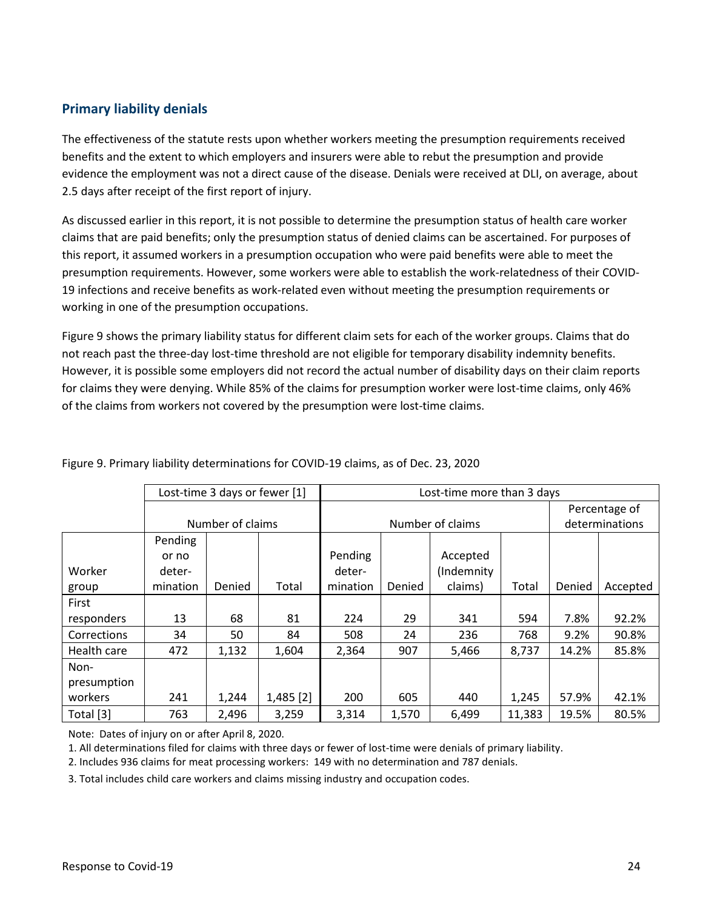## <span id="page-23-0"></span>**Primary liability denials**

 The effectiveness of the statute rests upon whether workers meeting the presumption requirements received benefits and the extent to which employers and insurers were able to rebut the presumption and provide evidence the employment was not a direct cause of the disease. Denials were received at DLI, on average, about 2.5 days after receipt of the first report of injury.

 As discussed earlier in this report, it is not possible to determine the presumption status of health care worker claims that are paid benefits; only the presumption status of denied claims can be ascertained. For purposes of this report, it assumed workers in a presumption occupation who were paid benefits were able to meet the presumption requirements. However, some workers were able to establish the work-relatedness of their COVID-19 infections and receive benefits as work-related even without meeting the presumption requirements or working in one of the presumption occupations.

 for claims they were denying. While 85% of the claims for presumption worker were lost-time claims, only 46% of the claims from workers not covered by the presumption were lost-time claims. Figure 9 shows the primary liability status for different claim sets for each of the worker groups. Claims that do not reach past the three-day lost-time threshold are not eligible for temporary disability indemnity benefits. However, it is possible some employers did not record the actual number of disability days on their claim reports

|             | Lost-time 3 days or fewer [1]<br>Lost-time more than 3 days |        |             |                  |        |            |        |                |          |
|-------------|-------------------------------------------------------------|--------|-------------|------------------|--------|------------|--------|----------------|----------|
|             |                                                             |        |             |                  |        |            |        | Percentage of  |          |
|             | Number of claims                                            |        |             | Number of claims |        |            |        | determinations |          |
|             | Pending                                                     |        |             |                  |        |            |        |                |          |
|             | or no                                                       |        |             | Pending          |        | Accepted   |        |                |          |
| Worker      | deter-                                                      |        |             | deter-           |        | (Indemnity |        |                |          |
| group       | mination                                                    | Denied | Total       | mination         | Denied | claims)    | Total  | Denied         | Accepted |
| First       |                                                             |        |             |                  |        |            |        |                |          |
| responders  | 13                                                          | 68     | 81          | 224              | 29     | 341        | 594    | 7.8%           | 92.2%    |
| Corrections | 34                                                          | 50     | 84          | 508              | 24     | 236        | 768    | 9.2%           | 90.8%    |
| Health care | 472                                                         | 1,132  | 1,604       | 2,364            | 907    | 5,466      | 8,737  | 14.2%          | 85.8%    |
| Non-        |                                                             |        |             |                  |        |            |        |                |          |
| presumption |                                                             |        |             |                  |        |            |        |                |          |
| workers     | 241                                                         | 1,244  | $1,485$ [2] | 200              | 605    | 440        | 1,245  | 57.9%          | 42.1%    |
| Total [3]   | 763                                                         | 2,496  | 3,259       | 3,314            | 1,570  | 6,499      | 11,383 | 19.5%          | 80.5%    |

Figure 9. Primary liability determinations for COVID-19 claims, as of Dec. 23, 2020

Note: Dates of injury on or after April 8, 2020.

1. All determinations filed for claims with three days or fewer of lost-time were denials of primary liability.

2. Includes 936 claims for meat processing workers: 149 with no determination and 787 denials.

3. Total includes child care workers and claims missing industry and occupation codes.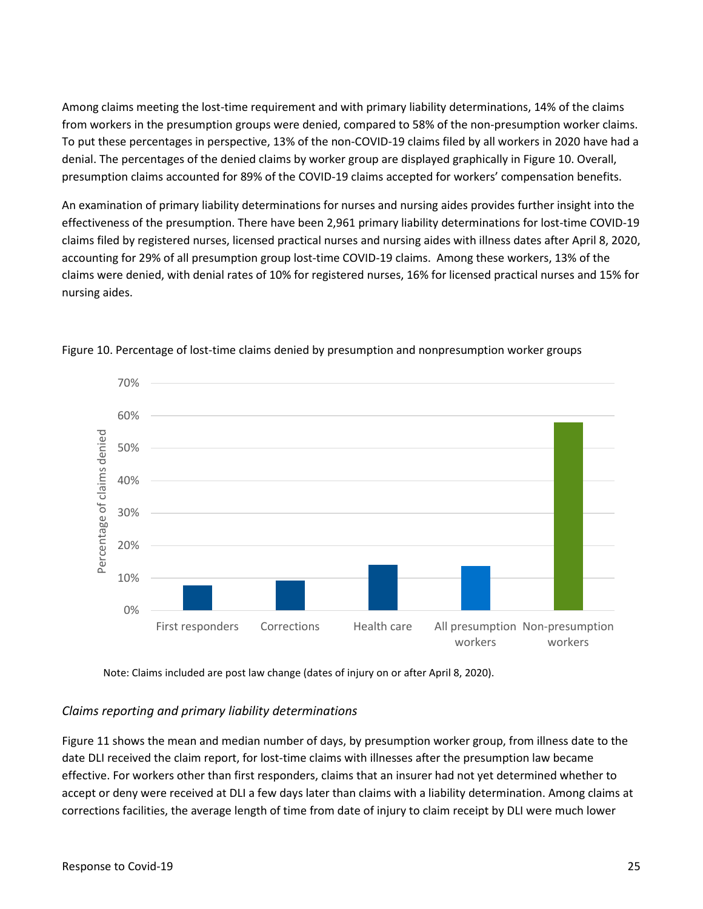Among claims meeting the lost-time requirement and with primary liability determinations, 14% of the claims from workers in the presumption groups were denied, compared to 58% of the non-presumption worker claims. To put these percentages in perspective, 13% of the non-COVID-19 claims filed by all workers in 2020 have had a denial. The percentages of the denied claims by worker group are displayed graphically in Figure 10. Overall, presumption claims accounted for 89% of the COVID-19 claims accepted for workers' compensation benefits.

 accounting for 29% of all presumption group lost-time COVID-19 claims. Among these workers, 13% of the An examination of primary liability determinations for nurses and nursing aides provides further insight into the effectiveness of the presumption. There have been 2,961 primary liability determinations for lost-time COVID-19 claims filed by registered nurses, licensed practical nurses and nursing aides with illness dates after April 8, 2020, claims were denied, with denial rates of 10% for registered nurses, 16% for licensed practical nurses and 15% for nursing aides.



Figure 10. Percentage of lost-time claims denied by presumption and nonpresumption worker groups

Note: Claims included are post law change (dates of injury on or after April 8, 2020).

### *Claims reporting and primary liability determinations*

 Figure 11 shows the mean and median number of days, by presumption worker group, from illness date to the date DLI received the claim report, for lost-time claims with illnesses after the presumption law became effective. For workers other than first responders, claims that an insurer had not yet determined whether to accept or deny were received at DLI a few days later than claims with a liability determination. Among claims at corrections facilities, the average length of time from date of injury to claim receipt by DLI were much lower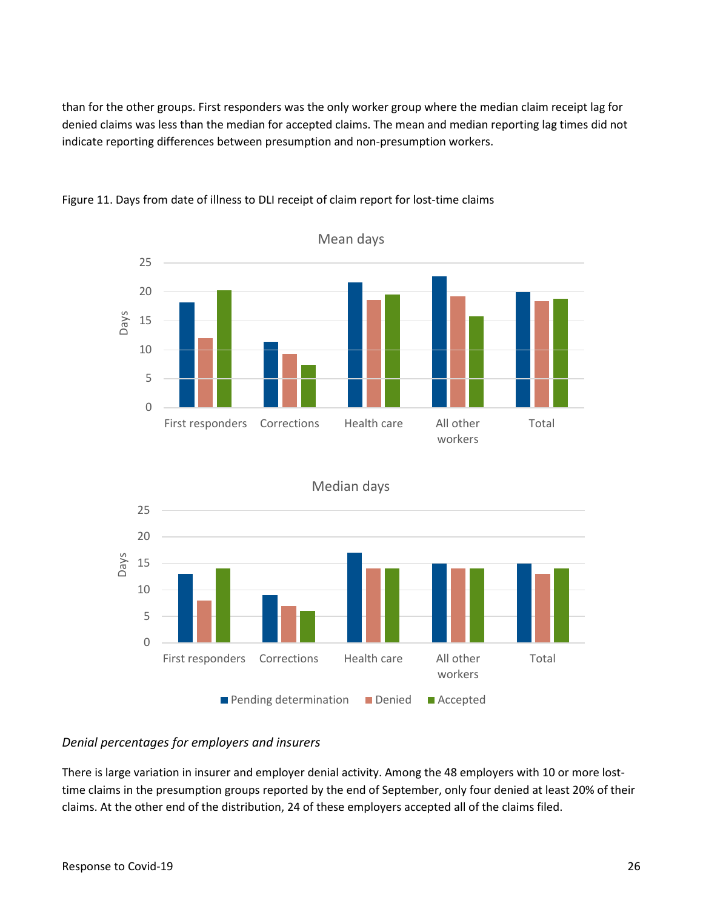than for the other groups. First responders was the only worker group where the median claim receipt lag for denied claims was less than the median for accepted claims. The mean and median reporting lag times did not indicate reporting differences between presumption and non-presumption workers.







Median days

#### *Denial percentages for employers and insurers*

 There is large variation in insurer and employer denial activity. Among the 48 employers with 10 or more lost- time claims in the presumption groups reported by the end of September, only four denied at least 20% of their claims. At the other end of the distribution, 24 of these employers accepted all of the claims filed.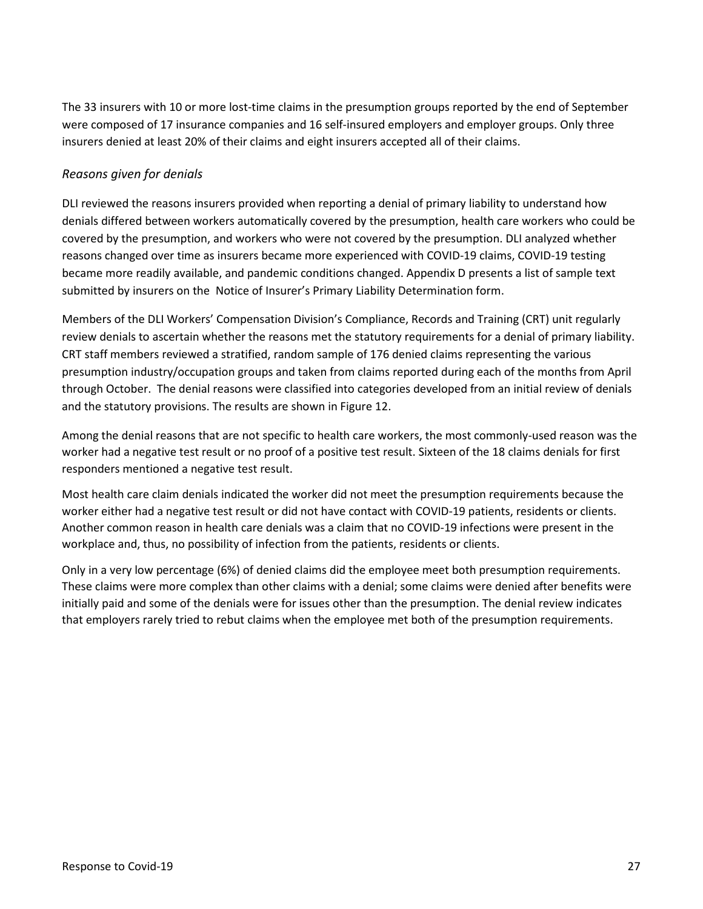The 33 insurers with 10 or more lost-time claims in the presumption groups reported by the end of September were composed of 17 insurance companies and 16 self-insured employers and employer groups. Only three insurers denied at least 20% of their claims and eight insurers accepted all of their claims.

## *Reasons given for denials*

 became more readily available, and pandemic conditions changed. Appendix D presents a list of sample text submitted by insurers on the Notice of Insurer's Primary Liability Determination form. DLI reviewed the reasons insurers provided when reporting a denial of primary liability to understand how denials differed between workers automatically covered by the presumption, health care workers who could be covered by the presumption, and workers who were not covered by the presumption. DLI analyzed whether reasons changed over time as insurers became more experienced with COVID-19 claims, COVID-19 testing

 Members of the DLI Workers' Compensation Division's Compliance, Records and Training (CRT) unit regularly review denials to ascertain whether the reasons met the statutory requirements for a denial of primary liability. CRT staff members reviewed a stratified, random sample of 176 denied claims representing the various presumption industry/occupation groups and taken from claims reported during each of the months from April through October. The denial reasons were classified into categories developed from an initial review of denials and the statutory provisions. The results are shown in Figure 12.

 Among the denial reasons that are not specific to health care workers, the most commonly-used reason was the worker had a negative test result or no proof of a positive test result. Sixteen of the 18 claims denials for first responders mentioned a negative test result.

 Another common reason in health care denials was a claim that no COVID-19 infections were present in the workplace and, thus, no possibility of infection from the patients, residents or clients. Most health care claim denials indicated the worker did not meet the presumption requirements because the worker either had a negative test result or did not have contact with COVID-19 patients, residents or clients.

 Only in a very low percentage (6%) of denied claims did the employee meet both presumption requirements. These claims were more complex than other claims with a denial; some claims were denied after benefits were initially paid and some of the denials were for issues other than the presumption. The denial review indicates that employers rarely tried to rebut claims when the employee met both of the presumption requirements.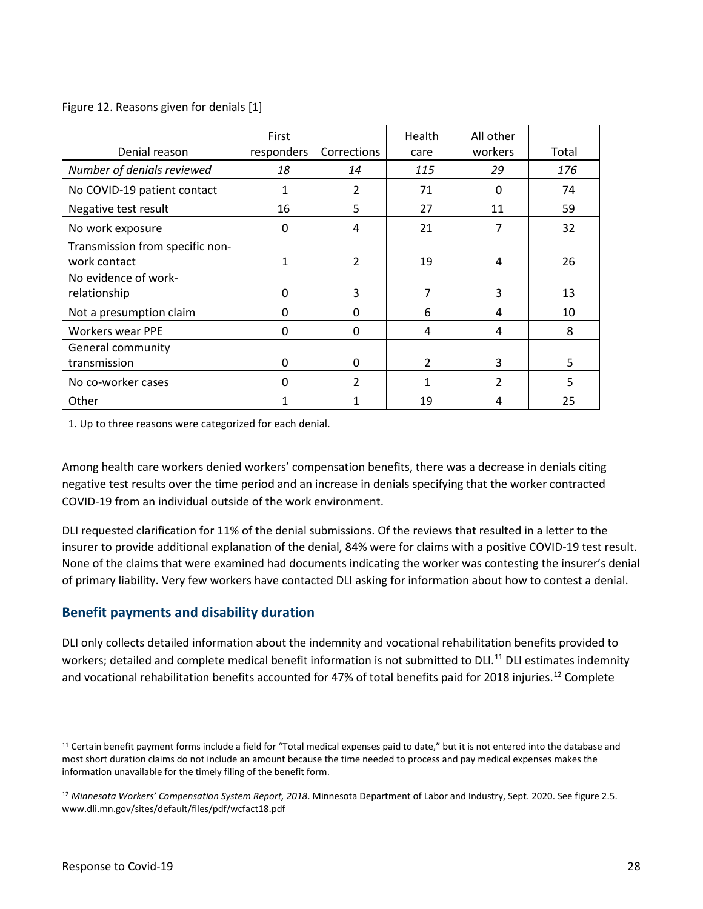### Figure 12. Reasons given for denials [1]

| Denial reason                                   | First<br>responders | Corrections    | Health<br>care | All other<br>workers | Total |
|-------------------------------------------------|---------------------|----------------|----------------|----------------------|-------|
| Number of denials reviewed                      | 18                  | 14             | 115            | 29                   | 176   |
| No COVID-19 patient contact                     |                     | 2              | 71             | 0                    | 74    |
| Negative test result                            | 16                  | 5              | 27             | 11                   | 59    |
| No work exposure                                | 0                   | 4              | 21             | 7                    | 32    |
| Transmission from specific non-<br>work contact | 1                   | $\overline{2}$ | 19             | 4                    | 26    |
| No evidence of work-<br>relationship            | 0                   | 3              | 7              | 3                    | 13    |
| Not a presumption claim                         | 0                   | 0              | 6              | 4                    | 10    |
| <b>Workers wear PPE</b>                         | 0                   | $\Omega$       | 4              | 4                    | 8     |
| General community<br>transmission               | 0                   | 0              | $\overline{2}$ | 3                    | 5     |
| No co-worker cases                              | 0                   | $\mathfrak z$  | 1              | $\overline{2}$       | 5     |
| Other                                           |                     |                | 19             | 4                    | 25    |

1. Up to three reasons were categorized for each denial.

 Among health care workers denied workers' compensation benefits, there was a decrease in denials citing negative test results over the time period and an increase in denials specifying that the worker contracted COVID-19 from an individual outside of the work environment.

 of primary liability. Very few workers have contacted DLI asking for information about how to contest a denial. DLI requested clarification for 11% of the denial submissions. Of the reviews that resulted in a letter to the insurer to provide additional explanation of the denial, 84% were for claims with a positive COVID-19 test result. None of the claims that were examined had documents indicating the worker was contesting the insurer's denial

## <span id="page-27-0"></span>**Benefit payments and disability duration**

DLI only collects detailed information about the indemnity and vocational rehabilitation benefits provided to workers; detailed and complete medical benefit information is not submitted to DLI.<sup>11</sup> DLI estimates indemnity and vocational rehabilitation benefits accounted for 47% of total benefits paid for 2018 injuries.<sup>[12](#page-27-2)</sup> Complete

<span id="page-27-1"></span><sup>&</sup>lt;sup>11</sup> Certain benefit payment forms include a field for "Total medical expenses paid to date," but it is not entered into the database and most short duration claims do not include an amount because the time needed to process and pay medical expenses makes the information unavailable for the timely filing of the benefit form.

<span id="page-27-2"></span><sup>12</sup>*Minnesota Workers' Compensation System Report, 2018*. Minnesota Department of Labor and Industry, Sept. 2020. See figure 2.5. <www.dli.mn.gov/sites/default/files/pdf/wcfact18.pdf>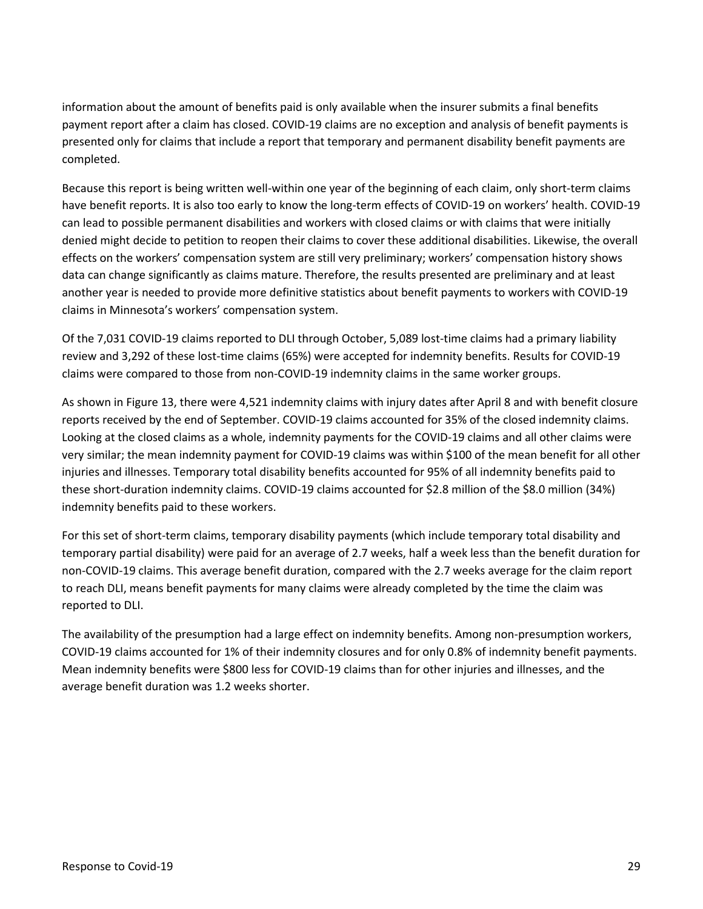information about the amount of benefits paid is only available when the insurer submits a final benefits payment report after a claim has closed. COVID-19 claims are no exception and analysis of benefit payments is presented only for claims that include a report that temporary and permanent disability benefit payments are completed.

 Because this report is being written well-within one year of the beginning of each claim, only short-term claims have benefit reports. It is also too early to know the long-term effects of COVID-19 on workers' health. COVID-19 can lead to possible permanent disabilities and workers with closed claims or with claims that were initially denied might decide to petition to reopen their claims to cover these additional disabilities. Likewise, the overall effects on the workers' compensation system are still very preliminary; workers' compensation history shows data can change significantly as claims mature. Therefore, the results presented are preliminary and at least another year is needed to provide more definitive statistics about benefit payments to workers with COVID-19 claims in Minnesota's workers' compensation system.

 Of the 7,031 COVID-19 claims reported to DLI through October, 5,089 lost-time claims had a primary liability review and 3,292 of these lost-time claims (65%) were accepted for indemnity benefits. Results for COVID-19 claims were compared to those from non-COVID-19 indemnity claims in the same worker groups.

 As shown in Figure 13, there were 4,521 indemnity claims with injury dates after April 8 and with benefit closure reports received by the end of September. COVID-19 claims accounted for 35% of the closed indemnity claims. Looking at the closed claims as a whole, indemnity payments for the COVID-19 claims and all other claims were very similar; the mean indemnity payment for COVID-19 claims was within \$100 of the mean benefit for all other injuries and illnesses. Temporary total disability benefits accounted for 95% of all indemnity benefits paid to these short-duration indemnity claims. COVID-19 claims accounted for \$2.8 million of the \$8.0 million (34%) indemnity benefits paid to these workers.

 temporary partial disability) were paid for an average of 2.7 weeks, half a week less than the benefit duration for non-COVID-19 claims. This average benefit duration, compared with the 2.7 weeks average for the claim report to reach DLI, means benefit payments for many claims were already completed by the time the claim was For this set of short-term claims, temporary disability payments (which include temporary total disability and reported to DLI.

 The availability of the presumption had a large effect on indemnity benefits. Among non-presumption workers, COVID-19 claims accounted for 1% of their indemnity closures and for only 0.8% of indemnity benefit payments. Mean indemnity benefits were \$800 less for COVID-19 claims than for other injuries and illnesses, and the average benefit duration was 1.2 weeks shorter.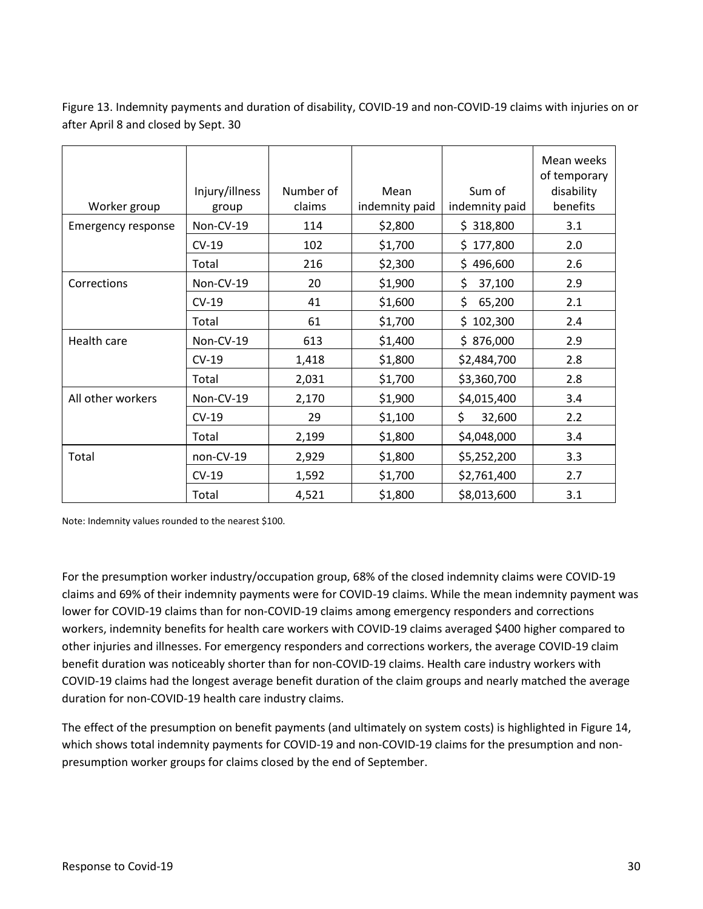Figure 13. Indemnity payments and duration of disability, COVID-19 and non-COVID-19 claims with injuries on or after April 8 and closed by Sept. 30

| Worker group              | Injury/illness<br>group | Number of<br>claims | Mean<br>indemnity paid | Sum of<br>indemnity paid | Mean weeks<br>of temporary<br>disability<br>benefits |
|---------------------------|-------------------------|---------------------|------------------------|--------------------------|------------------------------------------------------|
| <b>Emergency response</b> | Non-CV-19               | 114                 | \$2,800                | \$318,800                | 3.1                                                  |
|                           | $CV-19$                 | 102                 | \$1,700                | \$177,800                | 2.0                                                  |
|                           | Total                   | 216                 | \$2,300                | 496,600<br>\$.           | 2.6                                                  |
| Corrections               | Non-CV-19               | 20                  | \$1,900                | \$<br>37,100             | 2.9                                                  |
|                           | $CV-19$                 | 41                  | \$1,600                | \$<br>65,200             | 2.1                                                  |
|                           | Total                   | 61                  | \$1,700                | 102,300<br>Ś.            | 2.4                                                  |
| Health care               | Non-CV-19               | 613                 | \$1,400                | \$876,000                | 2.9                                                  |
|                           | $CV-19$                 | 1,418               | \$1,800                | \$2,484,700              | 2.8                                                  |
|                           | Total                   | 2,031               | \$1,700                | \$3,360,700              | 2.8                                                  |
| All other workers         | Non-CV-19               | 2,170               | \$1,900                | \$4,015,400              | 3.4                                                  |
|                           | $CV-19$                 | 29                  | \$1,100                | \$<br>32,600             | 2.2                                                  |
|                           | Total                   | 2,199               | \$1,800                | \$4,048,000              | 3.4                                                  |
| Total                     | non-CV-19               | 2,929               | \$1,800                | \$5,252,200              | 3.3                                                  |
|                           | $CV-19$                 | 1,592               | \$1,700                | \$2,761,400              | 2.7                                                  |
|                           | Total                   | 4,521               | \$1,800                | \$8,013,600              | 3.1                                                  |

Note: Indemnity values rounded to the nearest \$100.

 claims and 69% of their indemnity payments were for COVID-19 claims. While the mean indemnity payment was workers, indemnity benefits for health care workers with COVID-19 claims averaged \$400 higher compared to For the presumption worker industry/occupation group, 68% of the closed indemnity claims were COVID-19 lower for COVID-19 claims than for non-COVID-19 claims among emergency responders and corrections other injuries and illnesses. For emergency responders and corrections workers, the average COVID-19 claim benefit duration was noticeably shorter than for non-COVID-19 claims. Health care industry workers with COVID-19 claims had the longest average benefit duration of the claim groups and nearly matched the average duration for non-COVID-19 health care industry claims.

 The effect of the presumption on benefit payments (and ultimately on system costs) is highlighted in Figure 14, which shows total indemnity payments for COVID-19 and non-COVID-19 claims for the presumption and nonpresumption worker groups for claims closed by the end of September.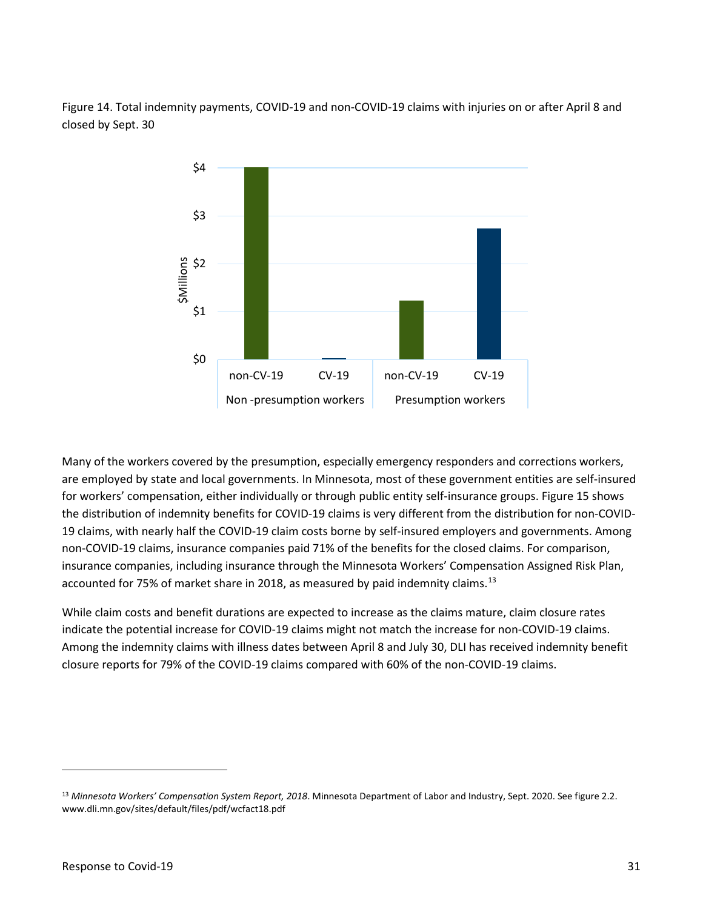Figure 14. Total indemnity payments, COVID-19 and non-COVID-19 claims with injuries on or after April 8 and closed by Sept. 30



 Many of the workers covered by the presumption, especially emergency responders and corrections workers, are employed by state and local governments. In Minnesota, most of these government entities are self-insured the distribution of indemnity benefits for COVID-19 claims is very different from the distribution for non-COVID- non-COVID-19 claims, insurance companies paid 71% of the benefits for the closed claims. For comparison, for workers' compensation, either individually or through public entity self-insurance groups. Figure 15 shows 19 claims, with nearly half the COVID-19 claim costs borne by self-insured employers and governments. Among insurance companies, including insurance through the Minnesota Workers' Compensation Assigned Risk Plan, accounted for 75% of market share in 2018, as measured by paid indemnity claims.<sup>[13](#page-30-0)</sup>

 While claim costs and benefit durations are expected to increase as the claims mature, claim closure rates indicate the potential increase for COVID-19 claims might not match the increase for non-COVID-19 claims. indicate the potential increase for COVID-19 claims might not match the increase for non-COVID-19 claims.<br>Among the indemnity claims with illness dates between April 8 and July 30, DLI has received indemnity benefit closure reports for 79% of the COVID-19 claims compared with 60% of the non-COVID-19 claims.

<span id="page-30-0"></span><sup>13</sup>*Minnesota Workers' Compensation System Report, 2018*. Minnesota Department of Labor and Industry, Sept. 2020. See figure 2.2. <www.dli.mn.gov/sites/default/files/pdf/wcfact18.pdf>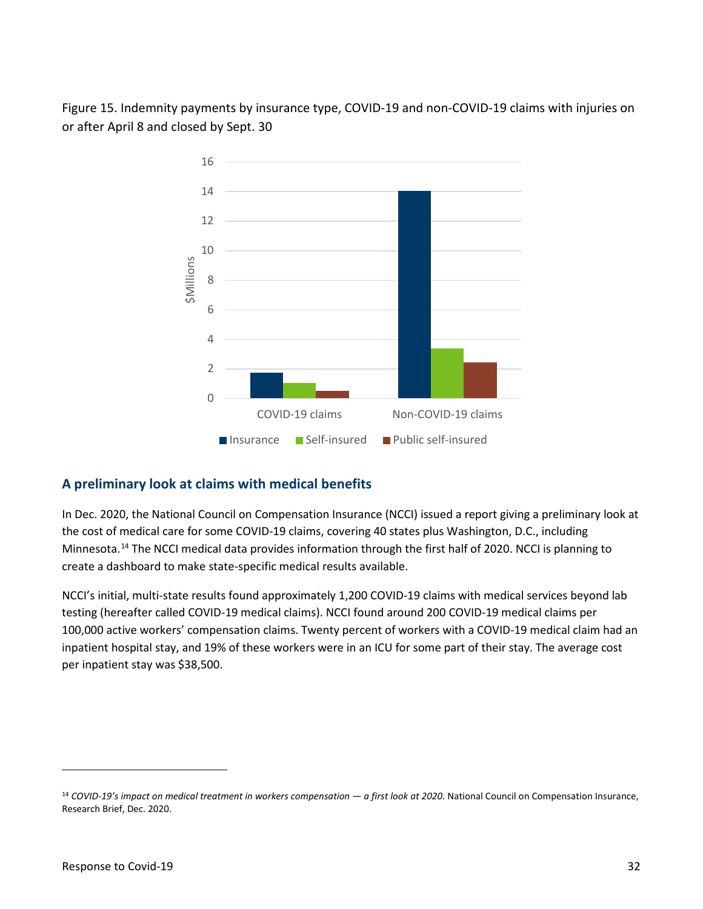Figure 15. Indemnity payments by insurance type, COVID-19 and non-COVID-19 claims with injuries on or after April 8 and closed by Sept. 30



## <span id="page-31-0"></span>**A preliminary look at claims with medical benefits**

In Dec. 2020, the National Council on Compensation Insurance (NCCI) issued a report giving a preliminary look at the cost of medical care for some COVID-19 claims, covering 40 states plus Washington, D.C., including Minnesota.[14](#page-31-1) The NCCI medical data provides information through the first half of 2020. NCCI is planning to create a dashboard to make state-specific medical results available.

 inpatient hospital stay, and 19% of these workers were in an ICU for some part of their stay. The average cost NCCI's initial, multi-state results found approximately 1,200 COVID-19 claims with medical services beyond lab testing (hereafter called COVID-19 medical claims). NCCI found around 200 COVID-19 medical claims per 100,000 active workers' compensation claims. Twenty percent of workers with a COVID-19 medical claim had an per inpatient stay was \$38,500.

<span id="page-31-1"></span><sup>14</sup>*COVID-19's impact on medical treatment in workers compensation — a first look at 2020*. National Council on Compensation Insurance, Research Brief, Dec. 2020.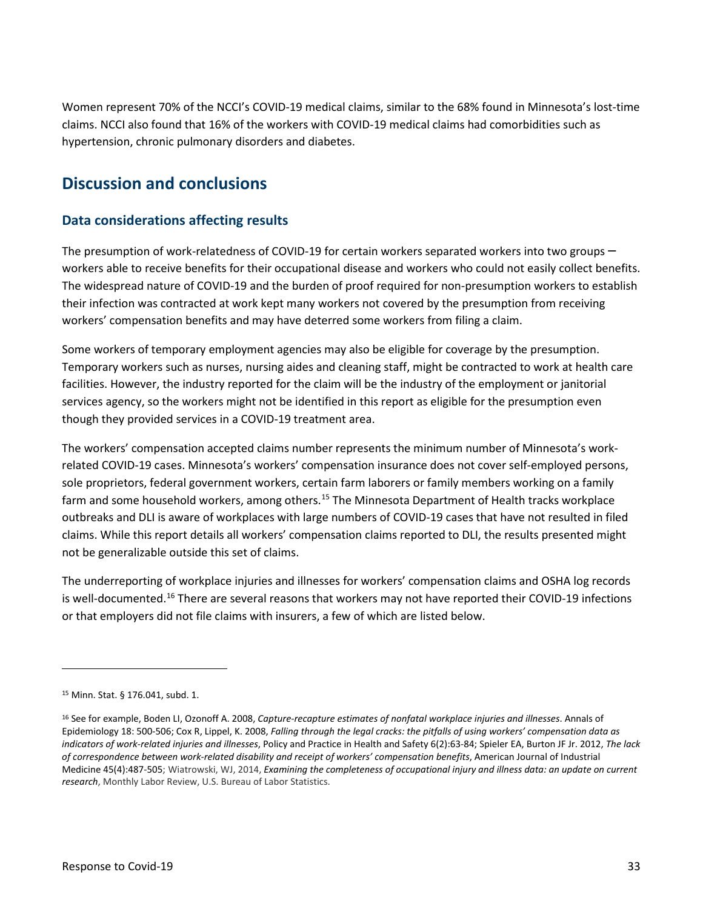Women represent 70% of the NCCI's COVID-19 medical claims, similar to the 68% found in Minnesota's lost-time claims. NCCI also found that 16% of the workers with COVID-19 medical claims had comorbidities such as hypertension, chronic pulmonary disorders and diabetes.

## <span id="page-32-0"></span>**Discussion and conclusions**

## <span id="page-32-1"></span>**Data considerations affecting results**

The presumption of work-relatedness of COVID-19 for certain workers separated workers into two groups  $-$  The widespread nature of COVID-19 and the burden of proof required for non-presumption workers to establish workers able to receive benefits for their occupational disease and workers who could not easily collect benefits. their infection was contracted at work kept many workers not covered by the presumption from receiving workers' compensation benefits and may have deterred some workers from filing a claim.

 facilities. However, the industry reported for the claim will be the industry of the employment or janitorial services agency, so the workers might not be identified in this report as eligible for the presumption even Some workers of temporary employment agencies may also be eligible for coverage by the presumption. Temporary workers such as nurses, nursing aides and cleaning staff, might be contracted to work at health care though they provided services in a COVID-19 treatment area.

 The workers' compensation accepted claims number represents the minimum number of Minnesota's work- sole proprietors, federal government workers, certain farm laborers or family members working on a family farm and some household workers, among others.<sup>[15](#page-32-2)</sup> The Minnesota Department of Health tracks workplace outbreaks and DLI is aware of workplaces with large numbers of COVID-19 cases that have not resulted in filed related COVID-19 cases. Minnesota's workers' compensation insurance does not cover self-employed persons, claims. While this report details all workers' compensation claims reported to DLI, the results presented might not be generalizable outside this set of claims.

The underreporting of workplace injuries and illnesses for workers' compensation claims and OSHA log records is well-documented.<sup>[16](#page-32-3)</sup> There are several reasons that workers may not have reported their COVID-19 infections or that employers did not file claims with insurers, a few of which are listed below.

<span id="page-32-2"></span> 15 Minn. Stat. § 176.041, subd. 1.

<span id="page-32-3"></span> *of correspondence between work-related disability and receipt of workers' compensation benefits*, American Journal of Industrial Medicine 45(4):487-505; Wiatrowski, WJ, 2014, *[Examining the completeness of occupational injury and illness data: an update on current](https://www.bls.gov/opub/mlr/2014/article/examining-the-completeness-of-occupational-injury-and-illness-data-an-update-on-current-research.htm)*  16 See for example, Boden LI, Ozonoff A. 2008, *Capture-recapture estimates of nonfatal workplace injuries and illnesses*. Annals of Epidemiology 18: 500-506; Cox R, Lippel, K. 2008, *Falling through the legal cracks: the pitfalls of using workers' compensation data as indicators of work-related injuries and illnesses*, Policy and Practice in Health and Safety 6(2):63-84; Spieler EA, Burton JF Jr. 2012, *The lack [research](https://www.bls.gov/opub/mlr/2014/article/examining-the-completeness-of-occupational-injury-and-illness-data-an-update-on-current-research.htm)*, Monthly Labor Review, U.S. Bureau of Labor Statistics.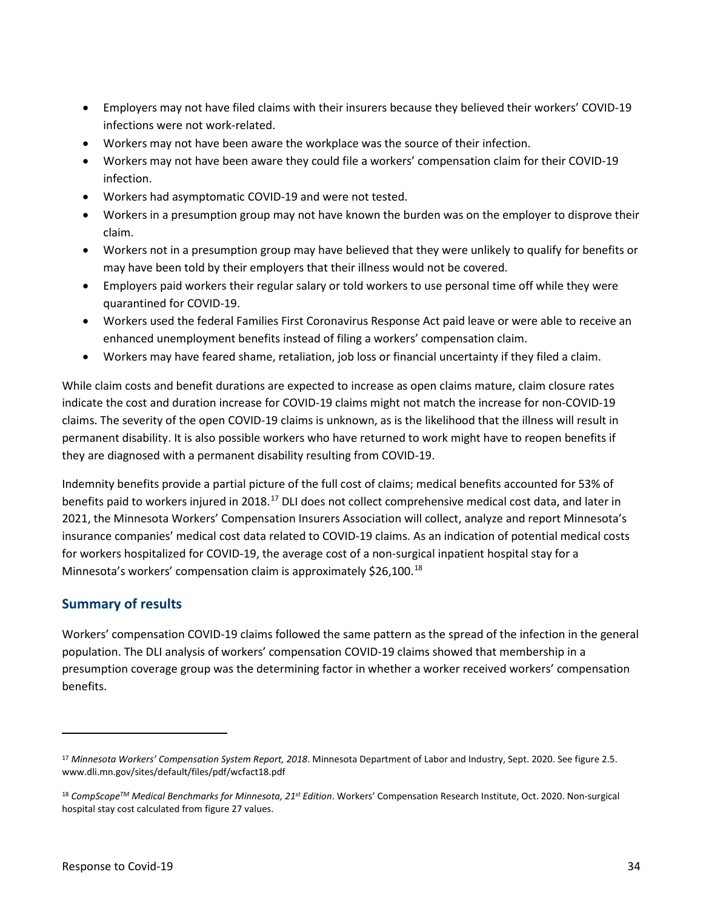- Employers may not have filed claims with their insurers because they believed their workers' COVID-19 infections were not work-related.
- Workers may not have been aware the workplace was the source of their infection.
- Workers may not have been aware they could file a workers' compensation claim for their COVID-19 infection.
- Workers had asymptomatic COVID-19 and were not tested.
- • Workers in a presumption group may not have known the burden was on the employer to disprove their claim.
- • Workers not in a presumption group may have believed that they were unlikely to qualify for benefits or may have been told by their employers that their illness would not be covered.
- • Employers paid workers their regular salary or told workers to use personal time off while they were quarantined for COVID-19.
- Workers used the federal Families First Coronavirus Response Act paid leave or were able to receive an enhanced unemployment benefits instead of filing a workers' compensation claim.
- Workers may have feared shame, retaliation, job loss or financial uncertainty if they filed a claim.

 While claim costs and benefit durations are expected to increase as open claims mature, claim closure rates indicate the cost and duration increase for COVID-19 claims might not match the increase for non-COVID-19 claims. The severity of the open COVID-19 claims is unknown, as is the likelihood that the illness will result in permanent disability. It is also possible workers who have returned to work might have to reopen benefits if they are diagnosed with a permanent disability resulting from COVID-19.

 2021, the Minnesota Workers' Compensation Insurers Association will collect, analyze and report Minnesota's Minnesota's workers' compensation claim is approximately \$26,100.<sup>[18](#page-33-2)</sup> Indemnity benefits provide a partial picture of the full cost of claims; medical benefits accounted for 53% of benefits paid to workers injured in 2018.[17](#page-33-1) DLI does not collect comprehensive medical cost data, and later in insurance companies' medical cost data related to COVID-19 claims. As an indication of potential medical costs for workers hospitalized for COVID-19, the average cost of a non-surgical inpatient hospital stay for a

## <span id="page-33-0"></span>**Summary of results**

 Workers' compensation COVID-19 claims followed the same pattern as the spread of the infection in the general population. The DLI analysis of workers' compensation COVID-19 claims showed that membership in a presumption coverage group was the determining factor in whether a worker received workers' compensation benefits.

<span id="page-33-1"></span><sup>17</sup>*Minnesota Workers' Compensation System Report, 2018*. Minnesota Department of Labor and Industry, Sept. 2020. See figure 2.5. <www.dli.mn.gov/sites/default/files/pdf/wcfact18.pdf>

<span id="page-33-2"></span><sup>18</sup>*CompScopeTM Medical Benchmarks for Minnesota, 21st Edition*. Workers' Compensation Research Institute, Oct. 2020. Non-surgical hospital stay cost calculated from figure 27 values.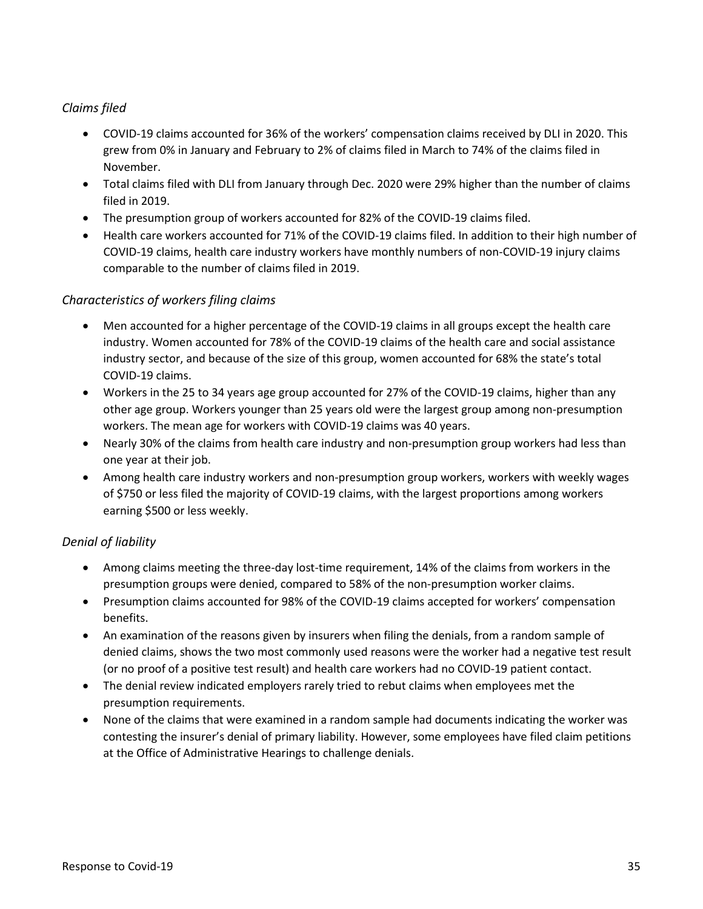## *Claims filed*

- • COVID-19 claims accounted for 36% of the workers' compensation claims received by DLI in 2020. This grew from 0% in January and February to 2% of claims filed in March to 74% of the claims filed in November.
- • Total claims filed with DLI from January through Dec. 2020 were 29% higher than the number of claims filed in 2019.
- The presumption group of workers accounted for 82% of the COVID-19 claims filed.
- • Health care workers accounted for 71% of the COVID-19 claims filed. In addition to their high number of COVID-19 claims, health care industry workers have monthly numbers of non-COVID-19 injury claims comparable to the number of claims filed in 2019.

## *Characteristics of workers filing claims*

- industry. Women accounted for 78% of the COVID-19 claims of the health care and social assistance • Men accounted for a higher percentage of the COVID-19 claims in all groups except the health care industry sector, and because of the size of this group, women accounted for 68% the state's total COVID-19 claims.
- • Workers in the 25 to 34 years age group accounted for 27% of the COVID-19 claims, higher than any other age group. Workers younger than 25 years old were the largest group among non-presumption workers. The mean age for workers with COVID-19 claims was 40 years.
- • Nearly 30% of the claims from health care industry and non-presumption group workers had less than one year at their job.
- Among health care industry workers and non-presumption group workers, workers with weekly wages of \$750 or less filed the majority of COVID-19 claims, with the largest proportions among workers earning \$500 or less weekly.

### *Denial of liability*

- presumption groups were denied, compared to 58% of the non-presumption worker claims. • Among claims meeting the three-day lost-time requirement, 14% of the claims from workers in the
- Presumption claims accounted for 98% of the COVID-19 claims accepted for workers' compensation benefits.
- An examination of the reasons given by insurers when filing the denials, from a random sample of denied claims, shows the two most commonly used reasons were the worker had a negative test result (or no proof of a positive test result) and health care workers had no COVID-19 patient contact.
- • The denial review indicated employers rarely tried to rebut claims when employees met the presumption requirements.
- • None of the claims that were examined in a random sample had documents indicating the worker was contesting the insurer's denial of primary liability. However, some employees have filed claim petitions at the Office of Administrative Hearings to challenge denials.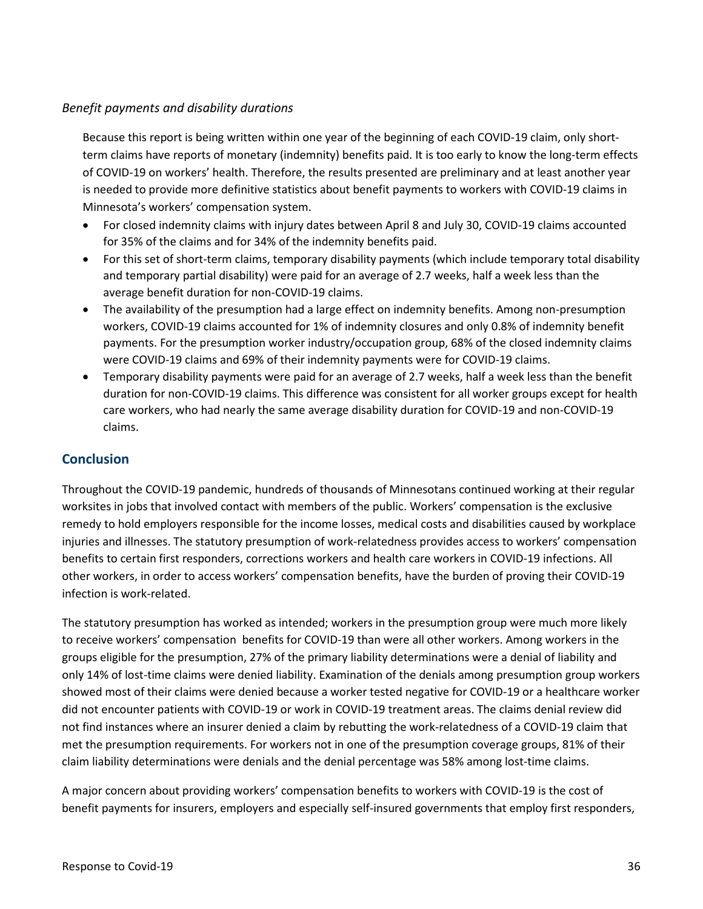### *Benefit payments and disability durations*

 Because this report is being written within one year of the beginning of each COVID-19 claim, only short- is needed to provide more definitive statistics about benefit payments to workers with COVID-19 claims in term claims have reports of monetary (indemnity) benefits paid. It is too early to know the long-term effects of COVID-19 on workers' health. Therefore, the results presented are preliminary and at least another year Minnesota's workers' compensation system.

- For closed indemnity claims with injury dates between April 8 and July 30, COVID-19 claims accounted for 35% of the claims and for 34% of the indemnity benefits paid.
- and temporary partial disability) were paid for an average of 2.7 weeks, half a week less than the • For this set of short-term claims, temporary disability payments (which include temporary total disability average benefit duration for non-COVID-19 claims.
- • The availability of the presumption had a large effect on indemnity benefits. Among non-presumption payments. For the presumption worker industry/occupation group, 68% of the closed indemnity claims workers, COVID-19 claims accounted for 1% of indemnity closures and only 0.8% of indemnity benefit were COVID-19 claims and 69% of their indemnity payments were for COVID-19 claims.
- Temporary disability payments were paid for an average of 2.7 weeks, half a week less than the benefit duration for non-COVID-19 claims. This difference was consistent for all worker groups except for health care workers, who had nearly the same average disability duration for COVID-19 and non-COVID-19 claims.

## <span id="page-35-0"></span>**Conclusion**

 Throughout the COVID-19 pandemic, hundreds of thousands of Minnesotans continued working at their regular worksites in jobs that involved contact with members of the public. Workers' compensation is the exclusive remedy to hold employers responsible for the income losses, medical costs and disabilities caused by workplace injuries and illnesses. The statutory presumption of work-relatedness provides access to workers' compensation benefits to certain first responders, corrections workers and health care workers in COVID-19 infections. All other workers, in order to access workers' compensation benefits, have the burden of proving their COVID-19 infection is work-related.

 The statutory presumption has worked as intended; workers in the presumption group were much more likely to receive workers' compensation benefits for COVID-19 than were all other workers. Among workers in the not find instances where an insurer denied a claim by rebutting the work-relatedness of a COVID-19 claim that claim liability determinations were denials and the denial percentage was 58% among lost-time claims. groups eligible for the presumption, 27% of the primary liability determinations were a denial of liability and only 14% of lost-time claims were denied liability. Examination of the denials among presumption group workers showed most of their claims were denied because a worker tested negative for COVID-19 or a healthcare worker did not encounter patients with COVID-19 or work in COVID-19 treatment areas. The claims denial review did met the presumption requirements. For workers not in one of the presumption coverage groups, 81% of their

 A major concern about providing workers' compensation benefits to workers with COVID-19 is the cost of benefit payments for insurers, employers and especially self-insured governments that employ first responders,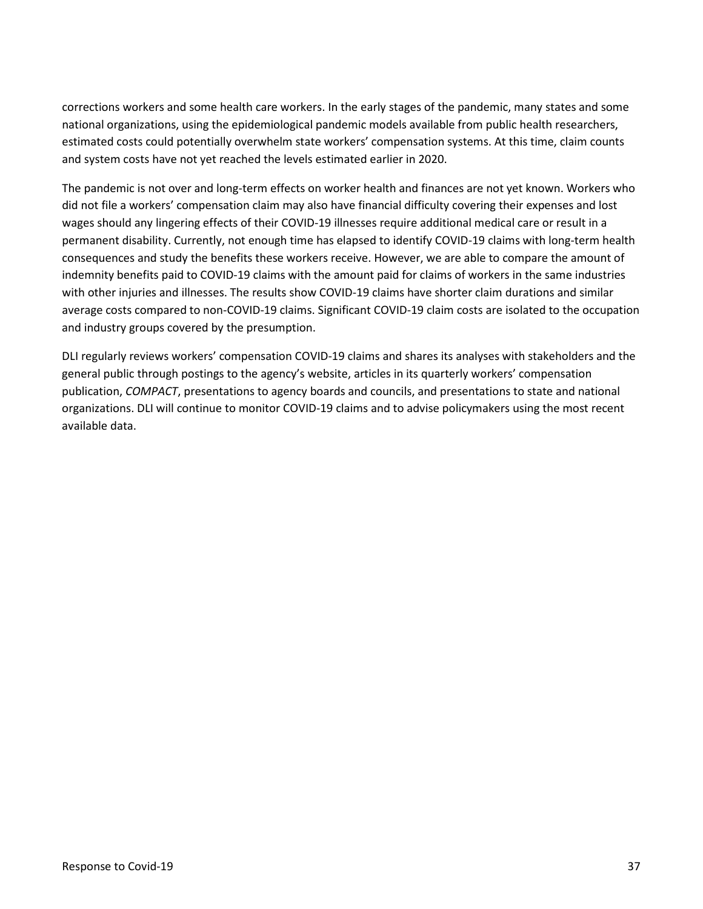corrections workers and some health care workers. In the early stages of the pandemic, many states and some national organizations, using the epidemiological pandemic models available from public health researchers, estimated costs could potentially overwhelm state workers' compensation systems. At this time, claim counts and system costs have not yet reached the levels estimated earlier in 2020.

 The pandemic is not over and long-term effects on worker health and finances are not yet known. Workers who did not file a workers' compensation claim may also have financial difficulty covering their expenses and lost wages should any lingering effects of their COVID-19 illnesses require additional medical care or result in a permanent disability. Currently, not enough time has elapsed to identify COVID-19 claims with long-term health consequences and study the benefits these workers receive. However, we are able to compare the amount of indemnity benefits paid to COVID-19 claims with the amount paid for claims of workers in the same industries with other injuries and illnesses. The results show COVID-19 claims have shorter claim durations and similar average costs compared to non-COVID-19 claims. Significant COVID-19 claim costs are isolated to the occupation and industry groups covered by the presumption.

 general public through postings to the agency's website, articles in its quarterly workers' compensation publication, *COMPACT*, presentations to agency boards and councils, and presentations to state and national organizations. DLI will continue to monitor COVID-19 claims and to advise policymakers using the most recent DLI regularly reviews workers' compensation COVID-19 claims and shares its analyses with stakeholders and the available data.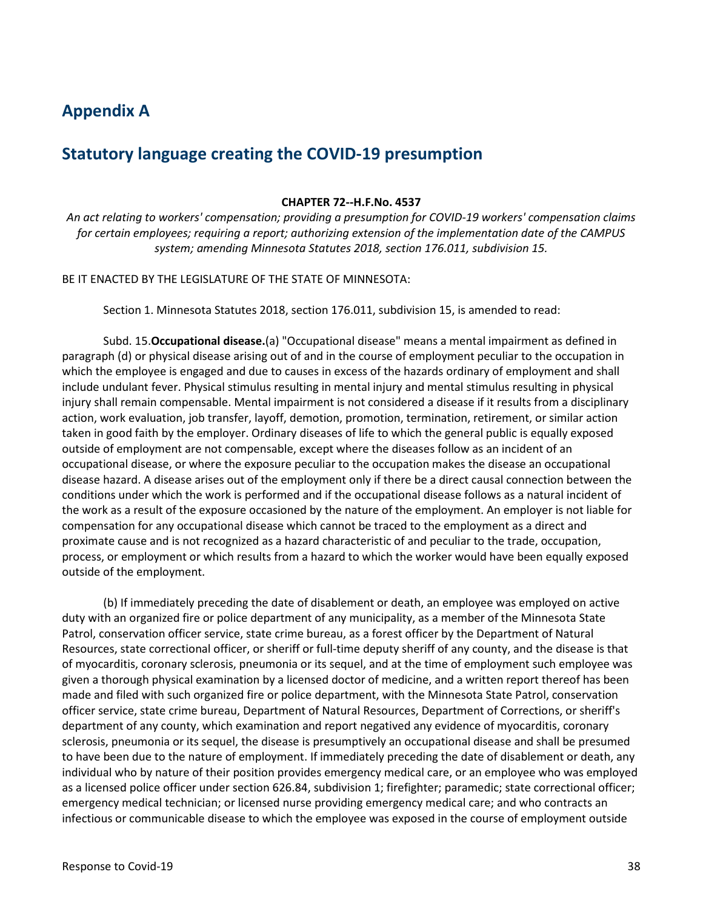## <span id="page-37-0"></span>**Appendix A**

## **Statutory language creating the COVID-19 presumption**

#### **CHAPTER [72--H.F.No.](https://72--H.F.No) 4537**

*An act relating to workers' compensation; providing a presumption for COVID-19 workers' compensation claims for certain employees; requiring a report; authorizing extension of the implementation date of the CAMPUS system; amending Minnesota Statutes 2018, section 176.011, subdivision 15.* 

BE IT ENACTED BY THE LEGISLATURE OF THE STATE OF MINNESOTA:

Section 1. Minnesota Statutes 2018, section 176.011, subdivision 15, is amended to read:

 which the employee is engaged and due to causes in excess of the hazards ordinary of employment and shall action, work evaluation, job transfer, layoff, demotion, promotion, termination, retirement, or similar action taken in good faith by the employer. Ordinary diseases of life to which the general public is equally exposed outside of employment are not compensable, except where the diseases follow as an incident of an occupational disease, or where the exposure peculiar to the occupation makes the disease an occupational disease hazard. A disease arises out of the employment only if there be a direct causal connection between the Subd. 15.**Occupational disease.**(a) "Occupational disease" means a mental impairment as defined in paragraph (d) or physical disease arising out of and in the course of employment peculiar to the occupation in include undulant fever. Physical stimulus resulting in mental injury and mental stimulus resulting in physical injury shall remain compensable. Mental impairment is not considered a disease if it results from a disciplinary conditions under which the work is performed and if the occupational disease follows as a natural incident of the work as a result of the exposure occasioned by the nature of the employment. An employer is not liable for compensation for any occupational disease which cannot be traced to the employment as a direct and proximate cause and is not recognized as a hazard characteristic of and peculiar to the trade, occupation, process, or employment or which results from a hazard to which the worker would have been equally exposed outside of the employment.

 duty with an organized fire or police department of any municipality, as a member of the Minnesota State of myocarditis, coronary sclerosis, pneumonia or its sequel, and at the time of employment such employee was given a thorough physical examination by a licensed doctor of medicine, and a written report thereof has been officer service, state crime bureau, Department of Natural Resources, Department of Corrections, or sheriff's department of any county, which examination and report negatived any evidence of myocarditis, coronary individual who by nature of their position provides emergency medical care, or an employee who was employed emergency medical technician; or licensed nurse providing emergency medical care; and who contracts an (b) If immediately preceding the date of disablement or death, an employee was employed on active Patrol, conservation officer service, state crime bureau, as a forest officer by the Department of Natural Resources, state correctional officer, or sheriff or full-time deputy sheriff of any county, and the disease is that made and filed with such organized fire or police department, with the Minnesota State Patrol, conservation sclerosis, pneumonia or its sequel, the disease is presumptively an occupational disease and shall be presumed to have been due to the nature of employment. If immediately preceding the date of disablement or death, any as a licensed police officer under section 626.84, subdivision 1; firefighter; paramedic; state correctional officer; infectious or communicable disease to which the employee was exposed in the course of employment outside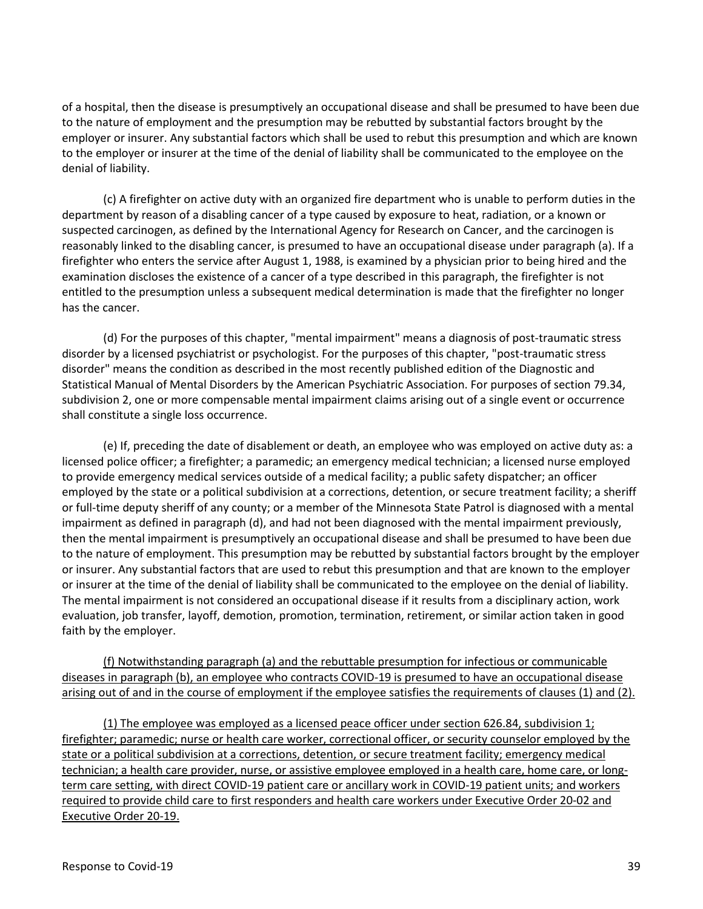of a hospital, then the disease is presumptively an occupational disease and shall be presumed to have been due to the nature of employment and the presumption may be rebutted by substantial factors brought by the employer or insurer. Any substantial factors which shall be used to rebut this presumption and which are known to the employer or insurer at the time of the denial of liability shall be communicated to the employee on the denial of liability.

 department by reason of a disabling cancer of a type caused by exposure to heat, radiation, or a known or firefighter who enters the service after August 1, 1988, is examined by a physician prior to being hired and the examination discloses the existence of a cancer of a type described in this paragraph, the firefighter is not entitled to the presumption unless a subsequent medical determination is made that the firefighter no longer (c) A firefighter on active duty with an organized fire department who is unable to perform duties in the suspected carcinogen, as defined by the International Agency for Research on Cancer, and the carcinogen is reasonably linked to the disabling cancer, is presumed to have an occupational disease under paragraph (a). If a has the cancer.

 (d) For the purposes of this chapter, "mental impairment" means a diagnosis of post-traumatic stress disorder" means the condition as described in the most recently published edition of the Diagnostic and subdivision 2, one or more compensable mental impairment claims arising out of a single event or occurrence disorder by a licensed psychiatrist or psychologist. For the purposes of this chapter, "post-traumatic stress Statistical Manual of Mental Disorders by the American Psychiatric Association. For purposes of section 79.34, shall constitute a single loss occurrence.

 (e) If, preceding the date of disablement or death, an employee who was employed on active duty as: a employed by the state or a political subdivision at a corrections, detention, or secure treatment facility; a sheriff or insurer at the time of the denial of liability shall be communicated to the employee on the denial of liability. licensed police officer; a firefighter; a paramedic; an emergency medical technician; a licensed nurse employed to provide emergency medical services outside of a medical facility; a public safety dispatcher; an officer or full-time deputy sheriff of any county; or a member of the Minnesota State Patrol is diagnosed with a mental impairment as defined in paragraph (d), and had not been diagnosed with the mental impairment previously, then the mental impairment is presumptively an occupational disease and shall be presumed to have been due to the nature of employment. This presumption may be rebutted by substantial factors brought by the employer or insurer. Any substantial factors that are used to rebut this presumption and that are known to the employer The mental impairment is not considered an occupational disease if it results from a disciplinary action, work evaluation, job transfer, layoff, demotion, promotion, termination, retirement, or similar action taken in good faith by the employer.

(f) Notwithstanding paragraph (a) and the rebuttable presumption for infectious or communicable diseases in paragraph (b), an employee who contracts COVID-19 is presumed to have an occupational disease arising out of and in the course of employment if the employee satisfies the requirements of clauses (1) and (2).

firefighter; paramedic; nurse or health care worker, correctional officer, or security counselor employed by the state or a political subdivision at a corrections, detention, or secure treatment facility; emergency medical technician; a health care provider, nurse, or assistive employee employed in a health care, home care, or long- term care setting, with direct COVID-19 patient care or ancillary work in COVID-19 patient units; and workers required to provide child care to first responders and health care workers under Executive Order 20-02 and (1) The employee was employed as a licensed peace officer under section 626.84, subdivision 1; Executive Order 20-19.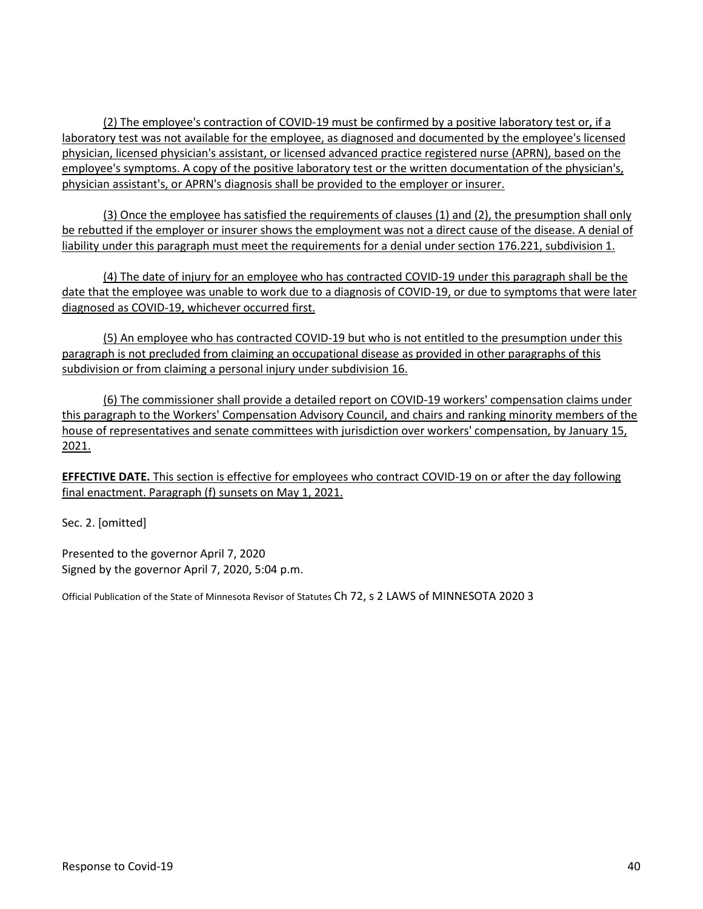physician, licensed physician's assistant, or licensed advanced practice registered nurse (APRN), based on the employee's symptoms. A copy of the positive laboratory test or the written documentation of the physician's, (2) The employee's contraction of COVID-19 must be confirmed by a positive laboratory test or, if a laboratory test was not available for the employee, as diagnosed and documented by the employee's licensed physician assistant's, or APRN's diagnosis shall be provided to the employer or insurer.

 (3) Once the employee has satisfied the requirements of clauses (1) and (2), the presumption shall only be rebutted if the employer or insurer shows the employment was not a direct cause of the disease. A denial of liability under this paragraph must meet the requirements for a denial under section 176.221, subdivision 1.

 (4) The date of injury for an employee who has contracted COVID-19 under this paragraph shall be the date that the employee was unable to work due to a diagnosis of COVID-19, or due to symptoms that were later diagnosed as COVID-19, whichever occurred first.

 (5) An employee who has contracted COVID-19 but who is not entitled to the presumption under this paragraph is not precluded from claiming an occupational disease as provided in other paragraphs of this subdivision or from claiming a personal injury under subdivision 16.

 this paragraph to the Workers' Compensation Advisory Council, and chairs and ranking minority members of the house of representatives and senate committees with jurisdiction over workers' compensation, by January 15, (6) The commissioner shall provide a detailed report on COVID-19 workers' compensation claims under 2021.

 final enactment. Paragraph (f) sunsets on May 1, 2021. **EFFECTIVE DATE.** This section is effective for employees who contract COVID-19 on or after the day following

Sec. 2. [omitted]

 Presented to the governor April 7, 2020 Signed by the governor April 7, 2020, 5:04 p.m.

Official Publication of the State of Minnesota Revisor of Statutes Ch 72, s 2 LAWS of MINNESOTA 2020 3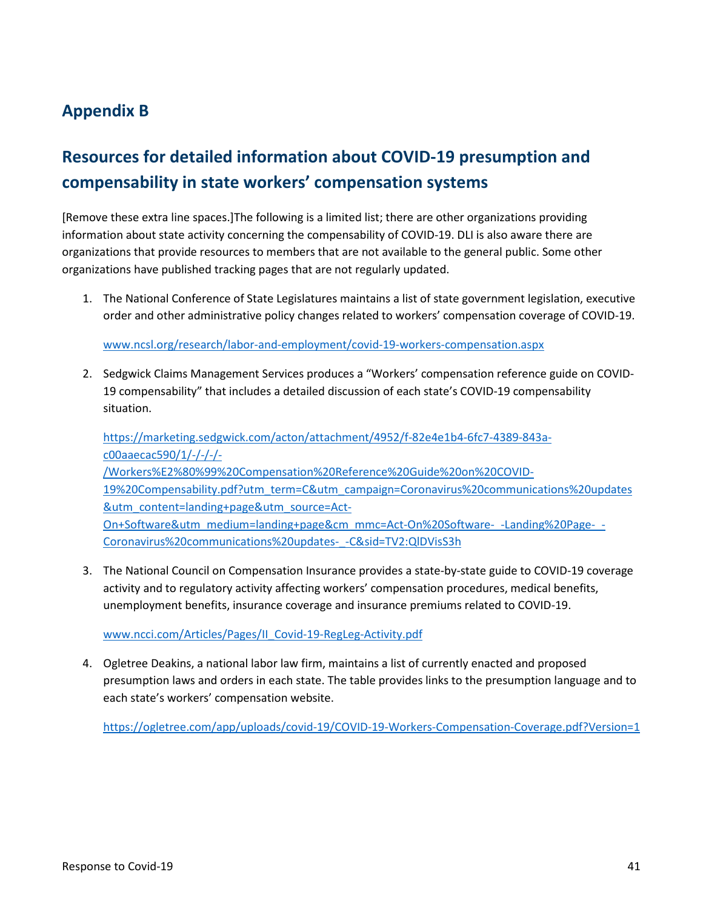## <span id="page-40-0"></span>**Appendix B**

# **Resources for detailed information about COVID-19 presumption and compensability in state workers' compensation systems**

 information about state activity concerning the compensability of COVID-19. DLI is also aware there are organizations that provide resources to members that are not available to the general public. Some other [Remove these extra line spaces.]The following is a limited list; there are other organizations providing organizations have published tracking pages that are not regularly updated.

 1. The National Conference of State Legislatures maintains a list of state government legislation, executive order and other administrative policy changes related to workers' compensation coverage of COVID-19.

[www.ncsl.org/research/labor-and-employment/covid-19-workers-compensation.aspx](file://B42PAWDLI-FS001/users/Research%20&%20Statistics/WC%20projects/COVID-19/CV19%20report%20Jan%202021/Report%20drafts/www.ncsl.org/research/labor-and-employment/covid-19-workers-compensation.aspx) 

2. Sedgwick Claims Management Services produces a "Workers' compensation reference guide on COVID-19 compensability" that includes a detailed discussion of each state's COVID-19 compensability situation.

[https://marketing.sedgwick.com/acton/attachment/4952/f-82e4e1b4-6fc7-4389-843a](https://marketing.sedgwick.com/acton/attachment/4952/f-82e4e1b4-6fc7-4389-843a-c00aaecac590/1/-/-/-/-/Workers%E2%80%99%20Compensation%20Reference%20Guide%20on%20COVID-19%20Compensability.pdf?utm_term=C&utm_campaign=Coronavirus%20communications%20updates&utm_content=landing+page&utm_source=Act-On+Software&utm_medium=landing+page&cm_mmc=Act-On%20Software-_-Landing%20Page-_-Coronavirus%20communications%20updates-_-C&sid=TV2:QlDVisS3h)[c00aaecac590/1/-/-/-/-](https://marketing.sedgwick.com/acton/attachment/4952/f-82e4e1b4-6fc7-4389-843a-c00aaecac590/1/-/-/-/-/Workers%E2%80%99%20Compensation%20Reference%20Guide%20on%20COVID-19%20Compensability.pdf?utm_term=C&utm_campaign=Coronavirus%20communications%20updates&utm_content=landing+page&utm_source=Act-On+Software&utm_medium=landing+page&cm_mmc=Act-On%20Software-_-Landing%20Page-_-Coronavirus%20communications%20updates-_-C&sid=TV2:QlDVisS3h) [/Workers%E2%80%99%20Compensation%20Reference%20Guide%20on%20COVID-](https://marketing.sedgwick.com/acton/attachment/4952/f-82e4e1b4-6fc7-4389-843a-c00aaecac590/1/-/-/-/-/Workers%E2%80%99%20Compensation%20Reference%20Guide%20on%20COVID-19%20Compensability.pdf?utm_term=C&utm_campaign=Coronavirus%20communications%20updates&utm_content=landing+page&utm_source=Act-On+Software&utm_medium=landing+page&cm_mmc=Act-On%20Software-_-Landing%20Page-_-Coronavirus%20communications%20updates-_-C&sid=TV2:QlDVisS3h)[19%20Compensability.pdf?utm\\_term=C&utm\\_campaign=Coronavirus%20communications%20updates](https://marketing.sedgwick.com/acton/attachment/4952/f-82e4e1b4-6fc7-4389-843a-c00aaecac590/1/-/-/-/-/Workers%E2%80%99%20Compensation%20Reference%20Guide%20on%20COVID-19%20Compensability.pdf?utm_term=C&utm_campaign=Coronavirus%20communications%20updates&utm_content=landing+page&utm_source=Act-On+Software&utm_medium=landing+page&cm_mmc=Act-On%20Software-_-Landing%20Page-_-Coronavirus%20communications%20updates-_-C&sid=TV2:QlDVisS3h)  [&utm\\_content=landing+page&utm\\_source=Act-](https://marketing.sedgwick.com/acton/attachment/4952/f-82e4e1b4-6fc7-4389-843a-c00aaecac590/1/-/-/-/-/Workers%E2%80%99%20Compensation%20Reference%20Guide%20on%20COVID-19%20Compensability.pdf?utm_term=C&utm_campaign=Coronavirus%20communications%20updates&utm_content=landing+page&utm_source=Act-On+Software&utm_medium=landing+page&cm_mmc=Act-On%20Software-_-Landing%20Page-_-Coronavirus%20communications%20updates-_-C&sid=TV2:QlDVisS3h)[On+Software&utm\\_medium=landing+page&cm\\_mmc=Act-On%20Software-\\_-Landing%20Page-\\_-](https://marketing.sedgwick.com/acton/attachment/4952/f-82e4e1b4-6fc7-4389-843a-c00aaecac590/1/-/-/-/-/Workers%E2%80%99%20Compensation%20Reference%20Guide%20on%20COVID-19%20Compensability.pdf?utm_term=C&utm_campaign=Coronavirus%20communications%20updates&utm_content=landing+page&utm_source=Act-On+Software&utm_medium=landing+page&cm_mmc=Act-On%20Software-_-Landing%20Page-_-Coronavirus%20communications%20updates-_-C&sid=TV2:QlDVisS3h) [Coronavirus%20communications%20updates-\\_-C&sid=TV2:QlDVisS3h](https://marketing.sedgwick.com/acton/attachment/4952/f-82e4e1b4-6fc7-4389-843a-c00aaecac590/1/-/-/-/-/Workers%E2%80%99%20Compensation%20Reference%20Guide%20on%20COVID-19%20Compensability.pdf?utm_term=C&utm_campaign=Coronavirus%20communications%20updates&utm_content=landing+page&utm_source=Act-On+Software&utm_medium=landing+page&cm_mmc=Act-On%20Software-_-Landing%20Page-_-Coronavirus%20communications%20updates-_-C&sid=TV2:QlDVisS3h) 

 activity and to regulatory activity affecting workers' compensation procedures, medical benefits, 3. The National Council on Compensation Insurance provides a state-by-state guide to COVID-19 coverage unemployment benefits, insurance coverage and insurance premiums related to COVID-19.

www.ncci.com/Articles/Pages/II Covid-19-RegLeg-Activity.pdf

 presumption laws and orders in each state. The table provides links to the presumption language and to 4. Ogletree Deakins, a national labor law firm, maintains a list of currently enacted and proposed each state's workers' compensation website.

<https://ogletree.com/app/uploads/covid-19/COVID-19-Workers-Compensation-Coverage.pdf?Version=1>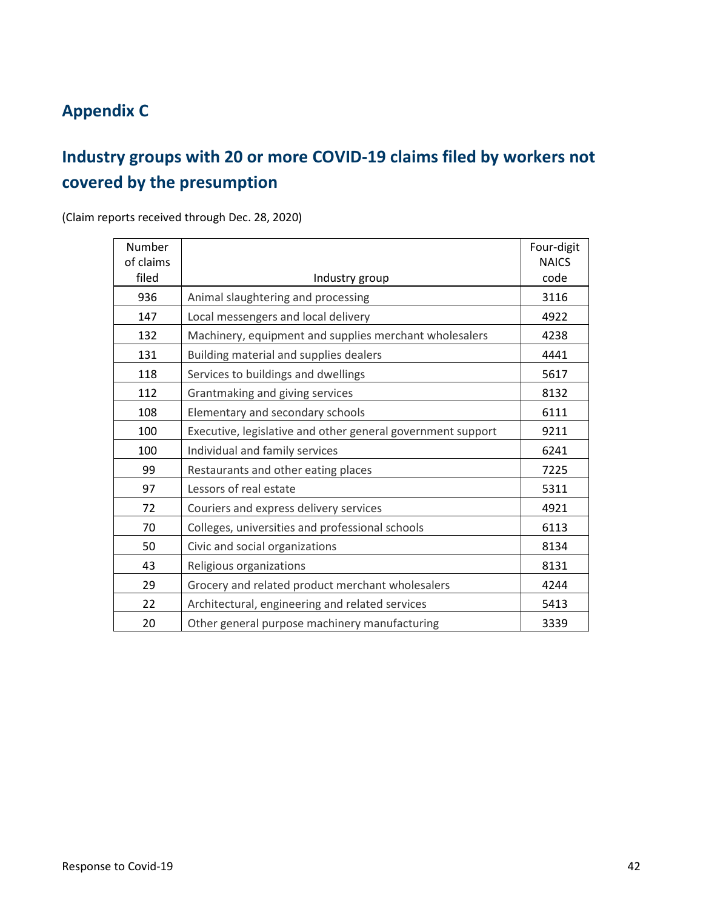# <span id="page-41-0"></span>**Appendix C**

# **Industry groups with 20 or more COVID-19 claims filed by workers not covered by the presumption**

(Claim reports received through Dec. 28, 2020)

| Number<br>of claims |                                                             | Four-digit<br><b>NAICS</b> |
|---------------------|-------------------------------------------------------------|----------------------------|
| filed               | Industry group                                              | code                       |
| 936                 | Animal slaughtering and processing                          | 3116                       |
| 147                 | Local messengers and local delivery                         | 4922                       |
| 132                 | Machinery, equipment and supplies merchant wholesalers      | 4238                       |
| 131                 | Building material and supplies dealers                      | 4441                       |
| 118                 | Services to buildings and dwellings                         | 5617                       |
| 112                 | Grantmaking and giving services                             | 8132                       |
| 108                 | Elementary and secondary schools                            | 6111                       |
| 100                 | Executive, legislative and other general government support | 9211                       |
| 100                 | Individual and family services                              | 6241                       |
| 99                  | Restaurants and other eating places                         | 7225                       |
| 97                  | Lessors of real estate                                      | 5311                       |
| 72                  | Couriers and express delivery services                      | 4921                       |
| 70                  | Colleges, universities and professional schools             | 6113                       |
| 50                  | Civic and social organizations                              | 8134                       |
| 43                  | Religious organizations                                     | 8131                       |
| 29                  | Grocery and related product merchant wholesalers            | 4244                       |
| 22                  | Architectural, engineering and related services             | 5413                       |
| 20                  | Other general purpose machinery manufacturing               | 3339                       |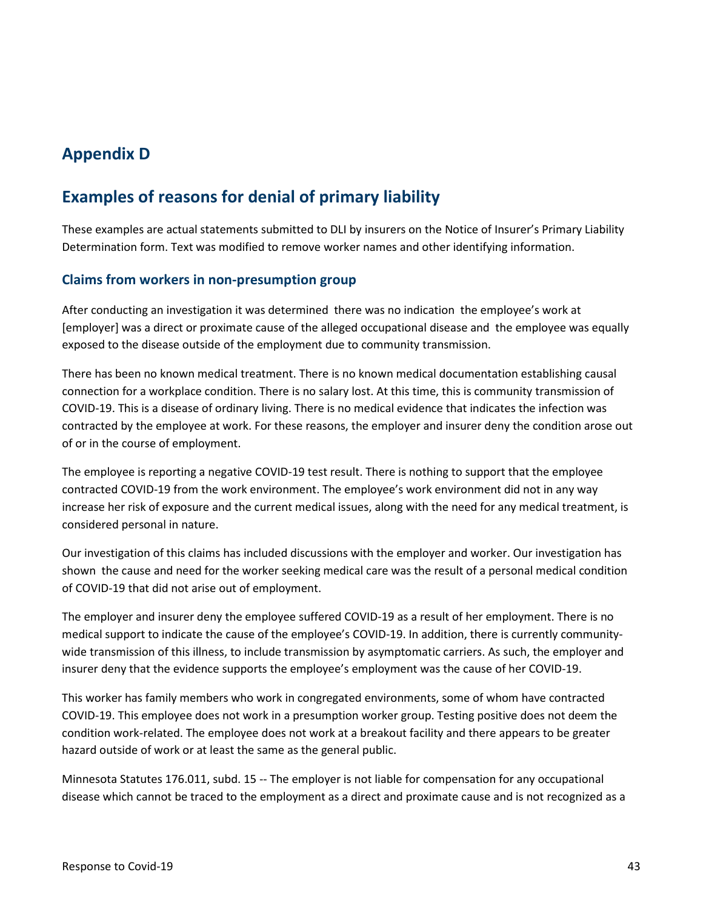## <span id="page-42-0"></span>**Appendix D**

## **Examples of reasons for denial of primary liability**

 These examples are actual statements submitted to DLI by insurers on the Notice of Insurer's Primary Liability Determination form. Text was modified to remove worker names and other identifying information.

## <span id="page-42-1"></span>**Claims from workers in non-presumption group**

 [employer] was a direct or proximate cause of the alleged occupational disease and the employee was equally After conducting an investigation it was determined there was no indication the employee's work at exposed to the disease outside of the employment due to community transmission.

 COVID-19. This is a disease of ordinary living. There is no medical evidence that indicates the infection was of or in the course of employment. There has been no known medical treatment. There is no known medical documentation establishing causal connection for a workplace condition. There is no salary lost. At this time, this is community transmission of contracted by the employee at work. For these reasons, the employer and insurer deny the condition arose out

 contracted COVID-19 from the work environment. The employee's work environment did not in any way The employee is reporting a negative COVID-19 test result. There is nothing to support that the employee increase her risk of exposure and the current medical issues, along with the need for any medical treatment, is considered personal in nature.

 shown the cause and need for the worker seeking medical care was the result of a personal medical condition Our investigation of this claims has included discussions with the employer and worker. Our investigation has of COVID-19 that did not arise out of employment.

 The employer and insurer deny the employee suffered COVID-19 as a result of her employment. There is no medical support to indicate the cause of the employee's COVID-19. In addition, there is currently communitywide transmission of this illness, to include transmission by asymptomatic carriers. As such, the employer and insurer deny that the evidence supports the employee's employment was the cause of her COVID-19.

 COVID-19. This employee does not work in a presumption worker group. Testing positive does not deem the hazard outside of work or at least the same as the general public. This worker has family members who work in congregated environments, some of whom have contracted condition work-related. The employee does not work at a breakout facility and there appears to be greater

 disease which cannot be traced to the employment as a direct and proximate cause and is not recognized as a Minnesota Statutes 176.011, subd. 15 -- The employer is not liable for compensation for any occupational